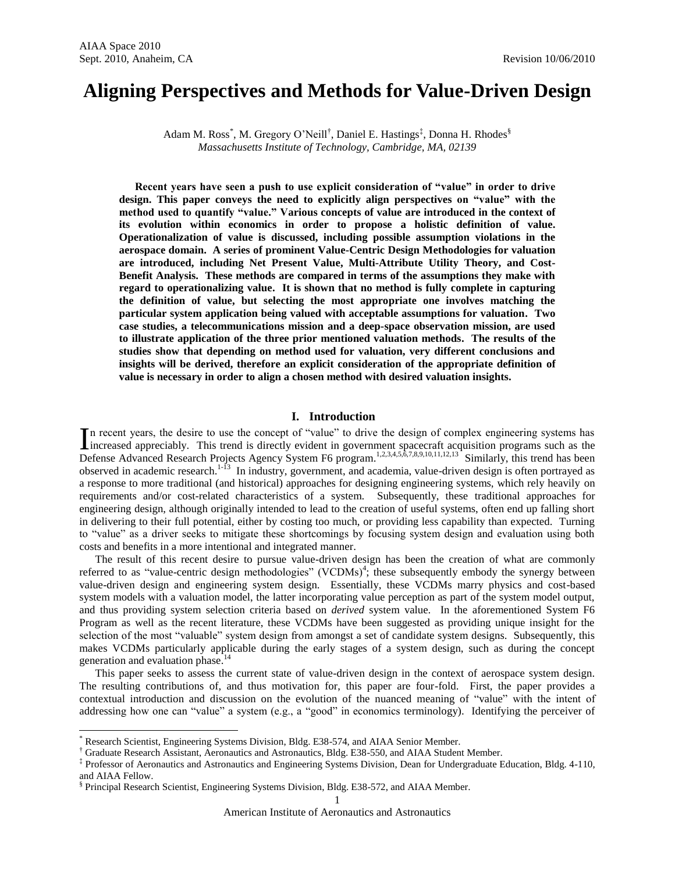# **Aligning Perspectives and Methods for Value-Driven Design**

Adam M. Ross<sup>\*</sup>, M. Gregory O'Neill<sup>†</sup>, Daniel E. Hastings<sup>‡</sup>, Donna H. Rhodes<sup>§</sup> *Massachusetts Institute of Technology, Cambridge, MA, 02139*

**Recent years have seen a push to use explicit consideration of "value" in order to drive design. This paper conveys the need to explicitly align perspectives on "value" with the method used to quantify "value." Various concepts of value are introduced in the context of its evolution within economics in order to propose a holistic definition of value. Operationalization of value is discussed, including possible assumption violations in the aerospace domain. A series of prominent Value-Centric Design Methodologies for valuation are introduced, including Net Present Value, Multi-Attribute Utility Theory, and Cost-Benefit Analysis. These methods are compared in terms of the assumptions they make with regard to operationalizing value. It is shown that no method is fully complete in capturing the definition of value, but selecting the most appropriate one involves matching the particular system application being valued with acceptable assumptions for valuation. Two case studies, a telecommunications mission and a deep-space observation mission, are used to illustrate application of the three prior mentioned valuation methods. The results of the studies show that depending on method used for valuation, very different conclusions and insights will be derived, therefore an explicit consideration of the appropriate definition of value is necessary in order to align a chosen method with desired valuation insights.**

# <span id="page-0-9"></span><span id="page-0-8"></span><span id="page-0-7"></span><span id="page-0-6"></span><span id="page-0-5"></span><span id="page-0-4"></span><span id="page-0-3"></span><span id="page-0-2"></span><span id="page-0-1"></span><span id="page-0-0"></span>**I. Introduction**

n recent years, the desire to use the concept of "value" to drive the design of complex engineering systems has increased appreciably. This trend is directly evident in government spacecraft acquisition programs such as the In recent years, the desire to use the concept of "value" to drive the design of complex engineering systems has<br>increased appreciably. This trend is directly evident in government spacecraft acquisition programs such as t observed in academic research.<sup>[1-](#page-0-0)[13](#page-0-1)</sup> In industry, government, and academia, value-driven design is often portrayed as a response to more traditional (and historical) approaches for designing engineering systems, which rely heavily on requirements and/or cost-related characteristics of a system. Subsequently, these traditional approaches for engineering design, although originally intended to lead to the creation of useful systems, often end up falling short in delivering to their full potential, either by costing too much, or providing less capability than expected. Turning to "value" as a driver seeks to mitigate these shortcomings by focusing system design and evaluation using both costs and benefits in a more intentional and integrated manner.

The result of this recent desire to pursue value-driven design has been the creation of what are commonly referred to as "value-centric design methodologies" (VCDMs)<sup>4</sup>[;](#page-0-2) these subsequently embody the synergy between value-driven design and engineering system design. Essentially, these VCDMs marry physics and cost-based system models with a valuation model, the latter incorporating value perception as part of the system model output, and thus providing system selection criteria based on *derived* system value. In the aforementioned System F6 Program as well as the recent literature, these VCDMs have been suggested as providing unique insight for the selection of the most "valuable" system design from amongst a set of candidate system designs. Subsequently, this makes VCDMs particularly applicable during the early stages of a system design, such as during the concept generation and evaluation phase.<sup>14</sup>

This paper seeks to assess the current state of value-driven design in the context of aerospace system design. The resulting contributions of, and thus motivation for, this paper are four-fold. First, the paper provides a contextual introduction and discussion on the evolution of the nuanced meaning of "value" with the intent of addressing how one can "value" a system (e.g., a "good" in economics terminology). Identifying the perceiver of

l

<sup>\*</sup> Research Scientist, Engineering Systems Division, Bldg. E38-574, and AIAA Senior Member.

<sup>†</sup> Graduate Research Assistant, Aeronautics and Astronautics, Bldg. E38-550, and AIAA Student Member.

<sup>‡</sup> Professor of Aeronautics and Astronautics and Engineering Systems Division, Dean for Undergraduate Education, Bldg. 4-110, and AIAA Fellow.

<sup>§</sup> Principal Research Scientist, Engineering Systems Division, Bldg. E38-572, and AIAA Member.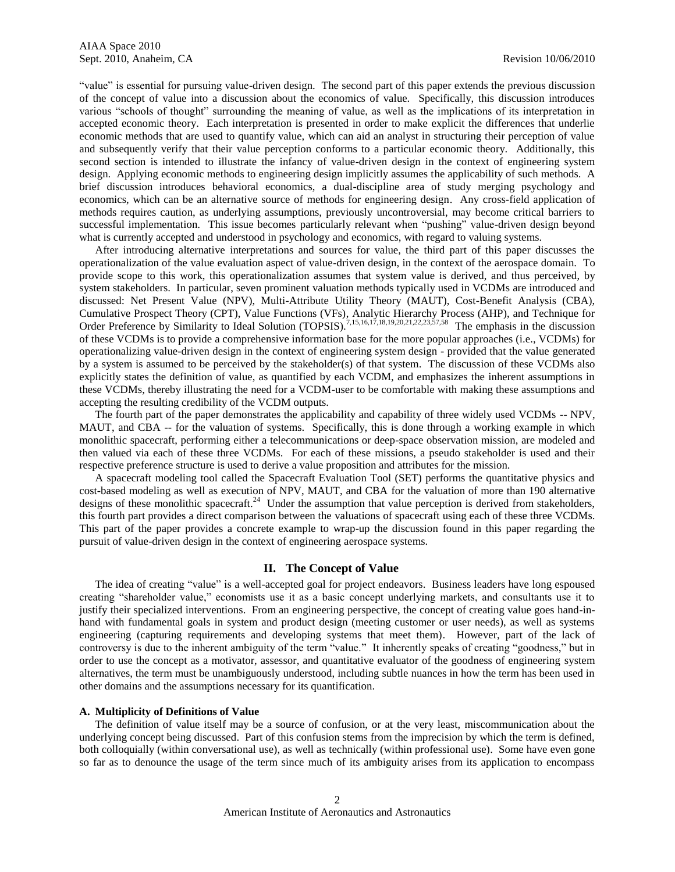―value‖ is essential for pursuing value-driven design. The second part of this paper extends the previous discussion of the concept of value into a discussion about the economics of value. Specifically, this discussion introduces various "schools of thought" surrounding the meaning of value, as well as the implications of its interpretation in accepted economic theory. Each interpretation is presented in order to make explicit the differences that underlie economic methods that are used to quantify value, which can aid an analyst in structuring their perception of value and subsequently verify that their value perception conforms to a particular economic theory. Additionally, this second section is intended to illustrate the infancy of value-driven design in the context of engineering system design. Applying economic methods to engineering design implicitly assumes the applicability of such methods. A brief discussion introduces behavioral economics, a dual-discipline area of study merging psychology and economics, which can be an alternative source of methods for engineering design. Any cross-field application of methods requires caution, as underlying assumptions, previously uncontroversial, may become critical barriers to successful implementation. This issue becomes particularly relevant when "pushing" value-driven design beyond what is currently accepted and understood in psychology and economics, with regard to valuing systems.

After introducing alternative interpretations and sources for value, the third part of this paper discusses the operationalization of the value evaluation aspect of value-driven design, in the context of the aerospace domain. To provide scope to this work, this operationalization assumes that system value is derived, and thus perceived, by system stakeholders. In particular, seven prominent valuation methods typically used in VCDMs are introduced and discussed: Net Present Value (NPV), Multi-Attribute Utility Theory (MAUT), Cost-Benefit Analysis (CBA), Cumulative Prospect Theory (CPT), Value Functions (VFs), Analytic Hierarchy Process (AHP), and Technique for Order Preference by Similarity to Ideal Solution (TOPSIS).<sup>[7,1](#page-0-3)5,16,17,18,19,20,21,22,2[3,57,](#page-12-0)[58](#page-12-1)</sup> The emphasis in the discussion of these VCDMs is to provide a comprehensive information base for the more popular approaches (i.e., VCDMs) for operationalizing value-driven design in the context of engineering system design - provided that the value generated by a system is assumed to be perceived by the stakeholder(s) of that system. The discussion of these VCDMs also explicitly states the definition of value, as quantified by each VCDM, and emphasizes the inherent assumptions in these VCDMs, thereby illustrating the need for a VCDM-user to be comfortable with making these assumptions and accepting the resulting credibility of the VCDM outputs.

The fourth part of the paper demonstrates the applicability and capability of three widely used VCDMs -- NPV, MAUT, and CBA -- for the valuation of systems. Specifically, this is done through a working example in which monolithic spacecraft, performing either a telecommunications or deep-space observation mission, are modeled and then valued via each of these three VCDMs. For each of these missions, a pseudo stakeholder is used and their respective preference structure is used to derive a value proposition and attributes for the mission.

A spacecraft modeling tool called the Spacecraft Evaluation Tool (SET) performs the quantitative physics and cost-based modeling as well as execution of NPV, MAUT, and CBA for the valuation of more than 190 alternative designs of these monolithic spacecraft.<sup>24</sup> Under the assumption that value perception is derived from stakeholders, this fourth part provides a direct comparison between the valuations of spacecraft using each of these three VCDMs. This part of the paper provides a concrete example to wrap-up the discussion found in this paper regarding the pursuit of value-driven design in the context of engineering aerospace systems.

### <span id="page-1-8"></span><span id="page-1-7"></span><span id="page-1-6"></span><span id="page-1-5"></span><span id="page-1-4"></span><span id="page-1-3"></span><span id="page-1-2"></span><span id="page-1-1"></span><span id="page-1-0"></span>**II. The Concept of Value**

The idea of creating "value" is a well-accepted goal for project endeavors. Business leaders have long espoused creating "shareholder value," economists use it as a basic concept underlying markets, and consultants use it to justify their specialized interventions. From an engineering perspective, the concept of creating value goes hand-inhand with fundamental goals in system and product design (meeting customer or user needs), as well as systems engineering (capturing requirements and developing systems that meet them). However, part of the lack of controversy is due to the inherent ambiguity of the term "value." It inherently speaks of creating "goodness," but in order to use the concept as a motivator, assessor, and quantitative evaluator of the goodness of engineering system alternatives, the term must be unambiguously understood, including subtle nuances in how the term has been used in other domains and the assumptions necessary for its quantification.

# **A. Multiplicity of Definitions of Value**

The definition of value itself may be a source of confusion, or at the very least, miscommunication about the underlying concept being discussed. Part of this confusion stems from the imprecision by which the term is defined, both colloquially (within conversational use), as well as technically (within professional use). Some have even gone so far as to denounce the usage of the term since much of its ambiguity arises from its application to encompass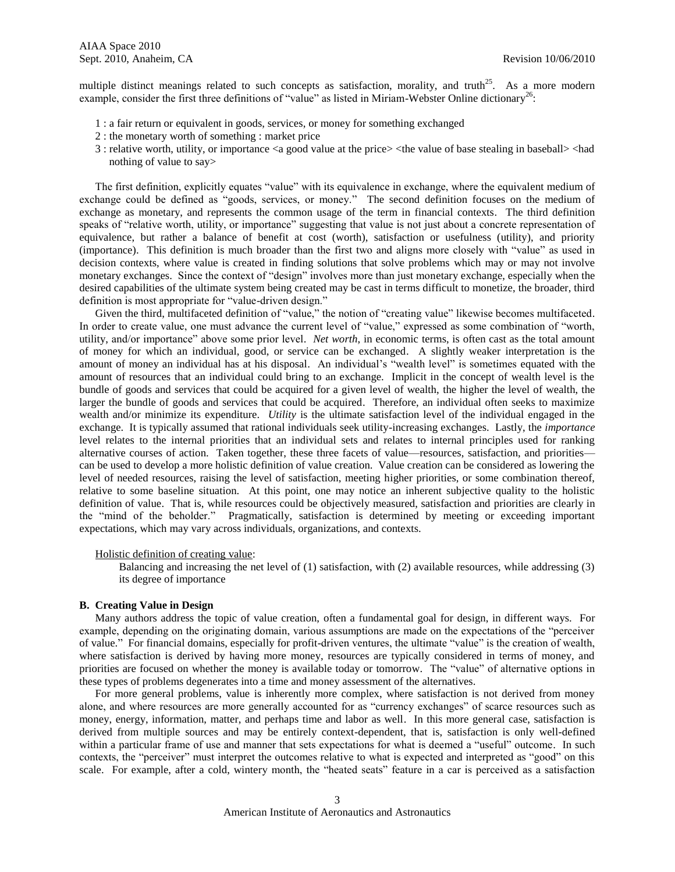AIAA Space 2010 Sept. 2010, Anaheim, CA Revision 10/06/2010

multiple distinct meanings related to such concepts as satisfaction, morality, and truth<sup>25</sup>. As a more modern example, consider the first three definitions of "value" as listed in Miriam-Webster Online dictionary<sup>26</sup>:

- 1 : a fair return or equivalent in goods, services, or money for something exchanged
- 2 : the monetary worth of something : market price
- 3 : relative worth, utility, or importance <a good value at the price> <the value of base stealing in baseball> <had nothing of value to say>

The first definition, explicitly equates "value" with its equivalence in exchange, where the equivalent medium of exchange could be defined as "goods, services, or money." The second definition focuses on the medium of exchange as monetary, and represents the common usage of the term in financial contexts. The third definition speaks of "relative worth, utility, or importance" suggesting that value is not just about a concrete representation of equivalence, but rather a balance of benefit at cost (worth), satisfaction or usefulness (utility), and priority (importance). This definition is much broader than the first two and aligns more closely with "value" as used in decision contexts, where value is created in finding solutions that solve problems which may or may not involve monetary exchanges. Since the context of "design" involves more than just monetary exchange, especially when the desired capabilities of the ultimate system being created may be cast in terms difficult to monetize, the broader, third definition is most appropriate for "value-driven design."

Given the third, multifaceted definition of "value," the notion of "creating value" likewise becomes multifaceted. In order to create value, one must advance the current level of "value," expressed as some combination of "worth, utility, and/or importance" above some prior level. *Net worth*, in economic terms, is often cast as the total amount of money for which an individual, good, or service can be exchanged. A slightly weaker interpretation is the amount of money an individual has at his disposal. An individual's "wealth level" is sometimes equated with the amount of resources that an individual could bring to an exchange. Implicit in the concept of wealth level is the bundle of goods and services that could be acquired for a given level of wealth, the higher the level of wealth, the larger the bundle of goods and services that could be acquired. Therefore, an individual often seeks to maximize wealth and/or minimize its expenditure. *Utility* is the ultimate satisfaction level of the individual engaged in the exchange. It is typically assumed that rational individuals seek utility-increasing exchanges. Lastly, the *importance* level relates to the internal priorities that an individual sets and relates to internal principles used for ranking alternative courses of action. Taken together, these three facets of value—resources, satisfaction, and priorities can be used to develop a more holistic definition of value creation. Value creation can be considered as lowering the level of needed resources, raising the level of satisfaction, meeting higher priorities, or some combination thereof, relative to some baseline situation. At this point, one may notice an inherent subjective quality to the holistic definition of value. That is, while resources could be objectively measured, satisfaction and priorities are clearly in the "mind of the beholder." Pragmatically, satisfaction is determined by meeting or exceeding important expectations, which may vary across individuals, organizations, and contexts.

#### Holistic definition of creating value:

Balancing and increasing the net level of (1) satisfaction, with (2) available resources, while addressing (3) its degree of importance

# **B. Creating Value in Design**

Many authors address the topic of value creation, often a fundamental goal for design, in different ways. For example, depending on the originating domain, various assumptions are made on the expectations of the "perceiver" of value." For financial domains, especially for profit-driven ventures, the ultimate "value" is the creation of wealth, where satisfaction is derived by having more money, resources are typically considered in terms of money, and priorities are focused on whether the money is available today or tomorrow. The "value" of alternative options in these types of problems degenerates into a time and money assessment of the alternatives.

For more general problems, value is inherently more complex, where satisfaction is not derived from money alone, and where resources are more generally accounted for as "currency exchanges" of scarce resources such as money, energy, information, matter, and perhaps time and labor as well. In this more general case, satisfaction is derived from multiple sources and may be entirely context-dependent, that is, satisfaction is only well-defined within a particular frame of use and manner that sets expectations for what is deemed a "useful" outcome. In such contexts, the "perceiver" must interpret the outcomes relative to what is expected and interpreted as "good" on this scale. For example, after a cold, wintery month, the "heated seats" feature in a car is perceived as a satisfaction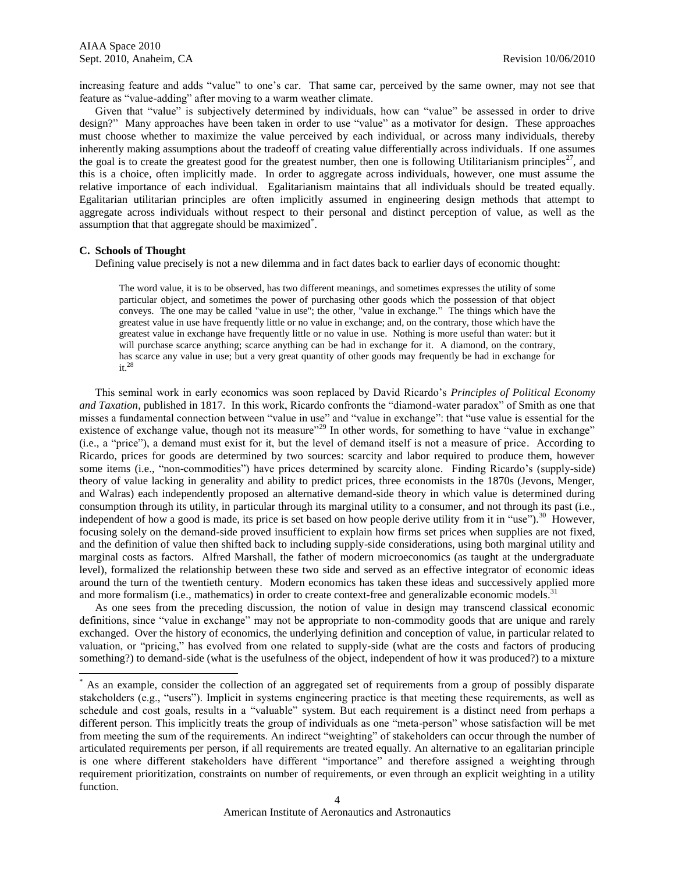increasing feature and adds "value" to one's car. That same car, perceived by the same owner, may not see that feature as "value-adding" after moving to a warm weather climate.

Given that "value" is subjectively determined by individuals, how can "value" be assessed in order to drive design?" Many approaches have been taken in order to use "value" as a motivator for design. These approaches must choose whether to maximize the value perceived by each individual, or across many individuals, thereby inherently making assumptions about the tradeoff of creating value differentially across individuals. If one assumes the goal is to create the greatest good for the greatest number, then one is following Utilitarianism principles<sup>27</sup>, and this is a choice, often implicitly made. In order to aggregate across individuals, however, one must assume the relative importance of each individual. Egalitarianism maintains that all individuals should be treated equally. Egalitarian utilitarian principles are often implicitly assumed in engineering design methods that attempt to aggregate across individuals without respect to their personal and distinct perception of value, as well as the assumption that that aggregate should be maximized<sup>\*</sup>.

#### **C. Schools of Thought**

l

Defining value precisely is not a new dilemma and in fact dates back to earlier days of economic thought:

The word value, it is to be observed, has two different meanings, and sometimes expresses the utility of some particular object, and sometimes the power of purchasing other goods which the possession of that object conveys. The one may be called "value in use"; the other, "value in exchange." The things which have the greatest value in use have frequently little or no value in exchange; and, on the contrary, those which have the greatest value in exchange have frequently little or no value in use. Nothing is more useful than water: but it will purchase scarce anything; scarce anything can be had in exchange for it. A diamond, on the contrary, has scarce any value in use; but a very great quantity of other goods may frequently be had in exchange for  $it.<sup>2</sup>$ 

<span id="page-3-0"></span>This seminal work in early economics was soon replaced by David Ricardo's *Principles of Political Economy and Taxation*, published in 1817. In this work, Ricardo confronts the "diamond-water paradox" of Smith as one that misses a fundamental connection between "value in use" and "value in exchange": that "use value is essential for the existence of exchange value, though not its measure<sup> $22$ </sup> In other words, for something to have "value in exchange" (i.e., a "price"), a demand must exist for it, but the level of demand itself is not a measure of price. According to Ricardo, prices for goods are determined by two sources: scarcity and labor required to produce them, however some items (i.e., "non-commodities") have prices determined by scarcity alone. Finding Ricardo's (supply-side) theory of value lacking in generality and ability to predict prices, three economists in the 1870s (Jevons, Menger, and Walras) each independently proposed an alternative demand-side theory in which value is determined during consumption through its utility, in particular through its marginal utility to a consumer, and not through its past (i.e., independent of how a good is made, its price is set based on how people derive utility from it in "use").<sup>30</sup> However, focusing solely on the demand-side proved insufficient to explain how firms set prices when supplies are not fixed, and the definition of value then shifted back to including supply-side considerations, using both marginal utility and marginal costs as factors. Alfred Marshall, the father of modern microeconomics (as taught at the undergraduate level), formalized the relationship between these two side and served as an effective integrator of economic ideas around the turn of the twentieth century. Modern economics has taken these ideas and successively applied more and more formalism (i.e., mathematics) in order to create context-free and generalizable economic models.<sup>31</sup>

As one sees from the preceding discussion, the notion of value in design may transcend classical economic definitions, since "value in exchange" may not be appropriate to non-commodity goods that are unique and rarely exchanged. Over the history of economics, the underlying definition and conception of value, in particular related to valuation, or "pricing," has evolved from one related to supply-side (what are the costs and factors of producing something?) to demand-side (what is the usefulness of the object, independent of how it was produced?) to a mixture

As an example, consider the collection of an aggregated set of requirements from a group of possibly disparate stakeholders (e.g., "users"). Implicit in systems engineering practice is that meeting these requirements, as well as schedule and cost goals, results in a "valuable" system. But each requirement is a distinct need from perhaps a different person. This implicitly treats the group of individuals as one "meta-person" whose satisfaction will be met from meeting the sum of the requirements. An indirect "weighting" of stakeholders can occur through the number of articulated requirements per person, if all requirements are treated equally. An alternative to an egalitarian principle is one where different stakeholders have different "importance" and therefore assigned a weighting through requirement prioritization, constraints on number of requirements, or even through an explicit weighting in a utility function.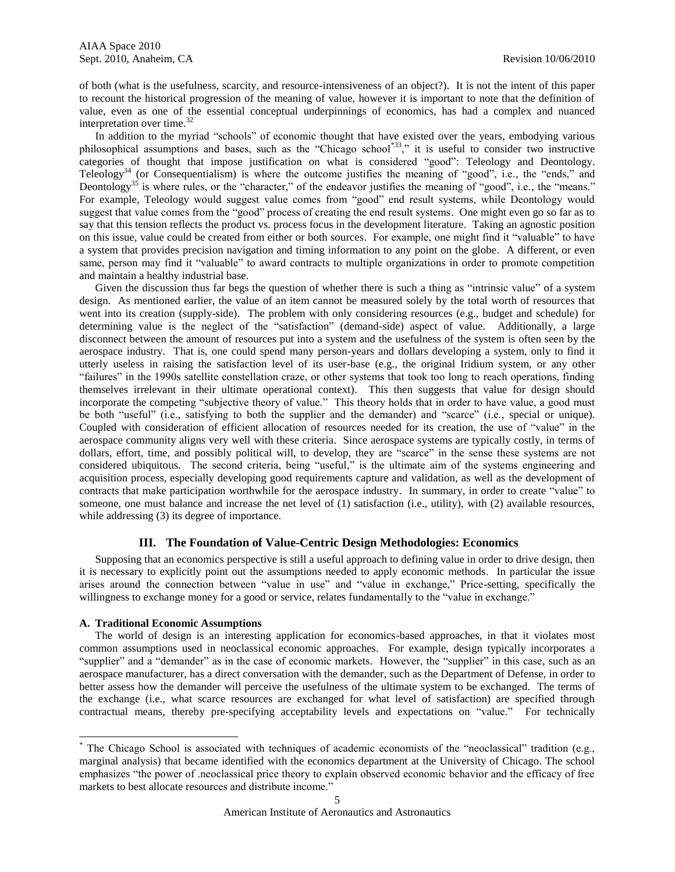of both (what is the usefulness, scarcity, and resource-intensiveness of an object?). It is not the intent of this paper to recount the historical progression of the meaning of value, however it is important to note that the definition of value, even as one of the essential conceptual underpinnings of economics, has had a complex and nuanced interpretation over time. 32

In addition to the myriad "schools" of economic thought that have existed over the years, embodying various philosophical assumptions and bases, such as the "Chicago school<sup>\*33</sup>," it is useful to consider two instructive categories of thought that impose justification on what is considered "good": Teleology and Deontology. Teleology<sup>34</sup> (or Consequentialism) is where the outcome justifies the meaning of "good", i.e., the "ends," and Deontology<sup>35</sup> is where rules, or the "character," of the endeavor justifies the meaning of "good", i.e., the "means." For example, Teleology would suggest value comes from "good" end result systems, while Deontology would suggest that value comes from the "good" process of creating the end result systems. One might even go so far as to say that this tension reflects the product vs. process focus in the development literature. Taking an agnostic position on this issue, value could be created from either or both sources. For example, one might find it "valuable" to have a system that provides precision navigation and timing information to any point on the globe. A different, or even same, person may find it "valuable" to award contracts to multiple organizations in order to promote competition and maintain a healthy industrial base.

Given the discussion thus far begs the question of whether there is such a thing as "intrinsic value" of a system design. As mentioned earlier, the value of an item cannot be measured solely by the total worth of resources that went into its creation (supply-side). The problem with only considering resources (e.g., budget and schedule) for determining value is the neglect of the "satisfaction" (demand-side) aspect of value. Additionally, a large disconnect between the amount of resources put into a system and the usefulness of the system is often seen by the aerospace industry. That is, one could spend many person-years and dollars developing a system, only to find it utterly useless in raising the satisfaction level of its user-base (e.g., the original Iridium system, or any other "failures" in the 1990s satellite constellation craze, or other systems that took too long to reach operations, finding themselves irrelevant in their ultimate operational context). This then suggests that value for design should incorporate the competing "subjective theory of value." This theory holds that in order to have value, a good must be both "useful" (i.e., satisfying to both the supplier and the demander) and "scarce" (i.e., special or unique). Coupled with consideration of efficient allocation of resources needed for its creation, the use of "value" in the aerospace community aligns very well with these criteria. Since aerospace systems are typically costly, in terms of dollars, effort, time, and possibly political will, to develop, they are "scarce" in the sense these systems are not considered ubiquitous. The second criteria, being "useful," is the ultimate aim of the systems engineering and acquisition process, especially developing good requirements capture and validation, as well as the development of contracts that make participation worthwhile for the aerospace industry. In summary, in order to create "value" to someone, one must balance and increase the net level of (1) satisfaction (i.e., utility), with (2) available resources, while addressing (3) its degree of importance.

## **III. The Foundation of Value-Centric Design Methodologies: Economics**

Supposing that an economics perspective is still a useful approach to defining value in order to drive design, then it is necessary to explicitly point out the assumptions needed to apply economic methods. In particular the issue arises around the connection between "value in use" and "value in exchange," Price-setting, specifically the willingness to exchange money for a good or service, relates fundamentally to the "value in exchange."

### **A. Traditional Economic Assumptions**

 $\overline{\phantom{a}}$ 

The world of design is an interesting application for economics-based approaches, in that it violates most common assumptions used in neoclassical economic approaches. For example, design typically incorporates a "supplier" and a "demander" as in the case of economic markets. However, the "supplier" in this case, such as an aerospace manufacturer, has a direct conversation with the demander, such as the Department of Defense, in order to better assess how the demander will perceive the usefulness of the ultimate system to be exchanged. The terms of the exchange (i.e., what scarce resources are exchanged for what level of satisfaction) are specified through contractual means, thereby pre-specifying acceptability levels and expectations on "value." For technically

 $*$  The Chicago School is associated with techniques of academic economists of the "neoclassical" tradition (e.g., marginal analysis) that became identified with the economics department at the University of Chicago. The school emphasizes "the power of .neoclassical price theory to explain observed economic behavior and the efficacy of free markets to best allocate resources and distribute income."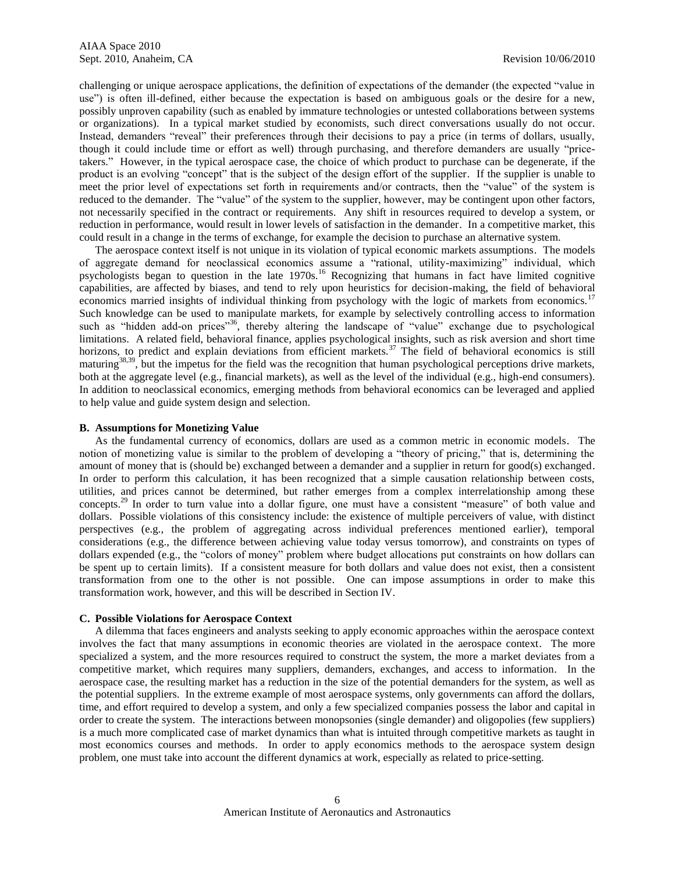challenging or unique aerospace applications, the definition of expectations of the demander (the expected "value in use") is often ill-defined, either because the expectation is based on ambiguous goals or the desire for a new, possibly unproven capability (such as enabled by immature technologies or untested collaborations between systems or organizations). In a typical market studied by economists, such direct conversations usually do not occur. Instead, demanders "reveal" their preferences through their decisions to pay a price (in terms of dollars, usually, though it could include time or effort as well) through purchasing, and therefore demanders are usually "pricetakers.‖ However, in the typical aerospace case, the choice of which product to purchase can be degenerate, if the product is an evolving "concept" that is the subject of the design effort of the supplier. If the supplier is unable to meet the prior level of expectations set forth in requirements and/or contracts, then the "value" of the system is reduced to the demander. The "value" of the system to the supplier, however, may be contingent upon other factors, not necessarily specified in the contract or requirements. Any shift in resources required to develop a system, or reduction in performance, would result in lower levels of satisfaction in the demander. In a competitive market, this could result in a change in the terms of exchange, for example the decision to purchase an alternative system.

The aerospace context itself is not unique in its violation of typical economic markets assumptions. The models of aggregate demand for neoclassical economics assume a "rational, utility-maximizing" individual, which psychologists began to question in the late 1970s.<sup>[16](#page-1-0)</sup> Recognizing that humans in fact have limited cognitive capabilities, are affected by biases, and tend to rely upon heuristics for decision-making, the field of behavioral economics married insights of individual thinking from psychology with the logic of markets from economics.<sup>[17](#page-1-1)</sup> Such knowledge can be used to manipulate markets, for example by selectively controlling access to information such as "hidden add-on prices"<sup>36</sup>, thereby altering the landscape of "value" exchange due to psychological limitations. A related field, behavioral finance, applies psychological insights, such as risk aversion and short time horizons, to predict and explain deviations from efficient markets.<sup>37</sup> The field of behavioral economics is still maturing<sup>38,39</sup>, but the impetus for the field was the recognition that human psychological perceptions drive markets, both at the aggregate level (e.g., financial markets), as well as the level of the individual (e.g., high-end consumers). In addition to neoclassical economics, emerging methods from behavioral economics can be leveraged and applied to help value and guide system design and selection.

#### **B. Assumptions for Monetizing Value**

As the fundamental currency of economics, dollars are used as a common metric in economic models. The notion of monetizing value is similar to the problem of developing a "theory of pricing," that is, determining the amount of money that is (should be) exchanged between a demander and a supplier in return for good(s) exchanged. In order to perform this calculation, it has been recognized that a simple causation relationship between costs, utilities, and prices cannot be determined, but rather emerges from a complex interrelationship among these concepts.<sup>[29](#page-3-0)</sup> In order to turn value into a dollar figure, one must have a consistent "measure" of both value and dollars. Possible violations of this consistency include: the existence of multiple perceivers of value, with distinct perspectives (e.g., the problem of aggregating across individual preferences mentioned earlier), temporal considerations (e.g., the difference between achieving value today versus tomorrow), and constraints on types of dollars expended (e.g., the "colors of money" problem where budget allocations put constraints on how dollars can be spent up to certain limits). If a consistent measure for both dollars and value does not exist, then a consistent transformation from one to the other is not possible. One can impose assumptions in order to make this transformation work, however, and this will be described in Section IV.

#### **C. Possible Violations for Aerospace Context**

A dilemma that faces engineers and analysts seeking to apply economic approaches within the aerospace context involves the fact that many assumptions in economic theories are violated in the aerospace context. The more specialized a system, and the more resources required to construct the system, the more a market deviates from a competitive market, which requires many suppliers, demanders, exchanges, and access to information. In the aerospace case, the resulting market has a reduction in the size of the potential demanders for the system, as well as the potential suppliers. In the extreme example of most aerospace systems, only governments can afford the dollars, time, and effort required to develop a system, and only a few specialized companies possess the labor and capital in order to create the system. The interactions between monopsonies (single demander) and oligopolies (few suppliers) is a much more complicated case of market dynamics than what is intuited through competitive markets as taught in most economics courses and methods. In order to apply economics methods to the aerospace system design problem, one must take into account the different dynamics at work, especially as related to price-setting.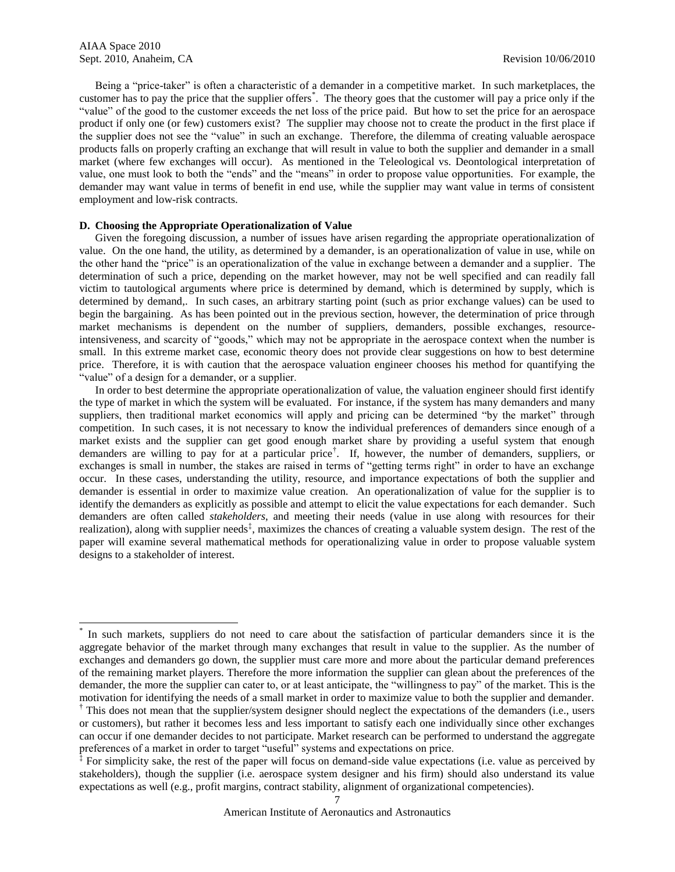l

Being a "price-taker" is often a characteristic of a demander in a competitive market. In such marketplaces, the customer has to pay the price that the supplier offers\* . The theory goes that the customer will pay a price only if the ―value‖ of the good to the customer exceeds the net loss of the price paid. But how to set the price for an aerospace product if only one (or few) customers exist? The supplier may choose not to create the product in the first place if the supplier does not see the "value" in such an exchange. Therefore, the dilemma of creating valuable aerospace products falls on properly crafting an exchange that will result in value to both the supplier and demander in a small market (where few exchanges will occur). As mentioned in the Teleological vs. Deontological interpretation of value, one must look to both the "ends" and the "means" in order to propose value opportunities. For example, the demander may want value in terms of benefit in end use, while the supplier may want value in terms of consistent employment and low-risk contracts.

# **D. Choosing the Appropriate Operationalization of Value**

Given the foregoing discussion, a number of issues have arisen regarding the appropriate operationalization of value. On the one hand, the utility, as determined by a demander, is an operationalization of value in use, while on the other hand the "price" is an operationalization of the value in exchange between a demander and a supplier. The determination of such a price, depending on the market however, may not be well specified and can readily fall victim to tautological arguments where price is determined by demand, which is determined by supply, which is determined by demand,. In such cases, an arbitrary starting point (such as prior exchange values) can be used to begin the bargaining. As has been pointed out in the previous section, however, the determination of price through market mechanisms is dependent on the number of suppliers, demanders, possible exchanges, resourceintensiveness, and scarcity of "goods," which may not be appropriate in the aerospace context when the number is small. In this extreme market case, economic theory does not provide clear suggestions on how to best determine price. Therefore, it is with caution that the aerospace valuation engineer chooses his method for quantifying the "value" of a design for a demander, or a supplier.

In order to best determine the appropriate operationalization of value, the valuation engineer should first identify the type of market in which the system will be evaluated. For instance, if the system has many demanders and many suppliers, then traditional market economics will apply and pricing can be determined "by the market" through competition. In such cases, it is not necessary to know the individual preferences of demanders since enough of a market exists and the supplier can get good enough market share by providing a useful system that enough demanders are willing to pay for at a particular price† . If, however, the number of demanders, suppliers, or exchanges is small in number, the stakes are raised in terms of "getting terms right" in order to have an exchange occur. In these cases, understanding the utility, resource, and importance expectations of both the supplier and demander is essential in order to maximize value creation. An operationalization of value for the supplier is to identify the demanders as explicitly as possible and attempt to elicit the value expectations for each demander. Such demanders are often called *stakeholders*, and meeting their needs (value in use along with resources for their realization), along with supplier needs<sup> $\ddagger$ </sup>, maximizes the chances of creating a valuable system design. The rest of the paper will examine several mathematical methods for operationalizing value in order to propose valuable system designs to a stakeholder of interest.

<sup>\*</sup> In such markets, suppliers do not need to care about the satisfaction of particular demanders since it is the aggregate behavior of the market through many exchanges that result in value to the supplier. As the number of exchanges and demanders go down, the supplier must care more and more about the particular demand preferences of the remaining market players. Therefore the more information the supplier can glean about the preferences of the demander, the more the supplier can cater to, or at least anticipate, the "willingness to pay" of the market. This is the motivation for identifying the needs of a small market in order to maximize value to both the supplier and demander.

<sup>&</sup>lt;sup>†</sup> This does not mean that the supplier/system designer should neglect the expectations of the demanders (i.e., users or customers), but rather it becomes less and less important to satisfy each one individually since other exchanges can occur if one demander decides to not participate. Market research can be performed to understand the aggregate preferences of a market in order to target "useful" systems and expectations on price.

<sup>&</sup>lt;sup>‡</sup> For simplicity sake, the rest of the paper will focus on demand-side value expectations (i.e. value as perceived by stakeholders), though the supplier (i.e. aerospace system designer and his firm) should also understand its value expectations as well (e.g., profit margins, contract stability, alignment of organizational competencies).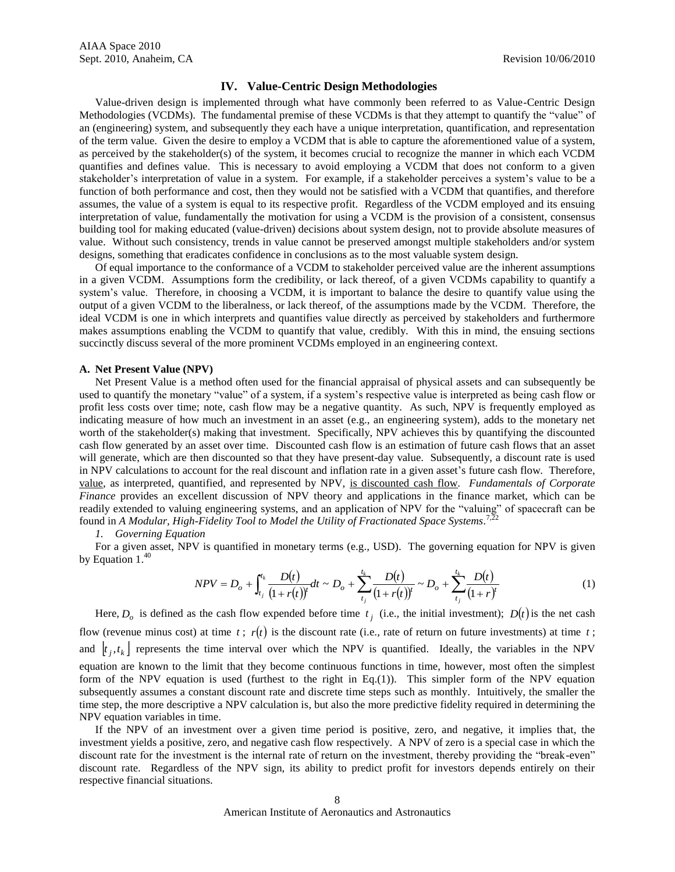#### **IV. Value-Centric Design Methodologies**

Value-driven design is implemented through what have commonly been referred to as Value-Centric Design Methodologies (VCDMs). The fundamental premise of these VCDMs is that they attempt to quantify the "value" of an (engineering) system, and subsequently they each have a unique interpretation, quantification, and representation of the term value. Given the desire to employ a VCDM that is able to capture the aforementioned value of a system, as perceived by the stakeholder(s) of the system, it becomes crucial to recognize the manner in which each VCDM quantifies and defines value. This is necessary to avoid employing a VCDM that does not conform to a given stakeholder's interpretation of value in a system. For example, if a stakeholder perceives a system's value to be a function of both performance and cost, then they would not be satisfied with a VCDM that quantifies, and therefore assumes, the value of a system is equal to its respective profit. Regardless of the VCDM employed and its ensuing interpretation of value, fundamentally the motivation for using a VCDM is the provision of a consistent, consensus building tool for making educated (value-driven) decisions about system design, not to provide absolute measures of value. Without such consistency, trends in value cannot be preserved amongst multiple stakeholders and/or system designs, something that eradicates confidence in conclusions as to the most valuable system design.

Of equal importance to the conformance of a VCDM to stakeholder perceived value are the inherent assumptions in a given VCDM. Assumptions form the credibility, or lack thereof, of a given VCDMs capability to quantify a system's value. Therefore, in choosing a VCDM, it is important to balance the desire to quantify value using the output of a given VCDM to the liberalness, or lack thereof, of the assumptions made by the VCDM. Therefore, the ideal VCDM is one in which interprets and quantifies value directly as perceived by stakeholders and furthermore makes assumptions enabling the VCDM to quantify that value, credibly. With this in mind, the ensuing sections succinctly discuss several of the more prominent VCDMs employed in an engineering context.

#### **A. Net Present Value (NPV)**

Net Present Value is a method often used for the financial appraisal of physical assets and can subsequently be used to quantify the monetary "value" of a system, if a system's respective value is interpreted as being cash flow or profit less costs over time; note, cash flow may be a negative quantity. As such, NPV is frequently employed as indicating measure of how much an investment in an asset (e.g., an engineering system), adds to the monetary net worth of the stakeholder(s) making that investment. Specifically, NPV achieves this by quantifying the discounted cash flow generated by an asset over time. Discounted cash flow is an estimation of future cash flows that an asset will generate, which are then discounted so that they have present-day value. Subsequently, a discount rate is used in NPV calculations to account for the real discount and inflation rate in a given asset's future cash flow. Therefore, value, as interpreted, quantified, and represented by NPV, is discounted cash flow. *Fundamentals of Corporate Finance* provides an excellent discussion of NPV theory and applications in the finance market, which can be readily extended to valuing engineering systems, and an application of NPV for the "valuing" of spacecraft can be found in *A Modular, High-Fidelity Tool to Model the Utility of Fractionated Space Systems.* [7,](#page-0-3)[22](#page-1-2)

<span id="page-7-0"></span>*1. Governing Equation*

For a given asset, NPV is quantified in monetary terms (e.g.*,* USD). The governing equation for NPV is given by Equation 1. 40

$$
NPV = D_o + \int_{t_j}^{t_k} \frac{D(t)}{(1+r(t))^t} dt \sim D_o + \sum_{t_j}^{t_k} \frac{D(t)}{(1+r(t))^t} \sim D_o + \sum_{t_j}^{t_k} \frac{D(t)}{(1+r)^t}
$$
(1)

Here,  $D<sub>o</sub>$  is defined as the cash flow expended before time  $t<sub>j</sub>$  (i.e., the initial investment);  $D(t)$  is the net cash flow (revenue minus cost) at time  $t$ ;  $r(t)$  is the discount rate (i.e., rate of return on future investments) at time t; and  $[t_j, t_k]$  represents the time interval over which the NPV is quantified. Ideally, the variables in the NPV equation are known to the limit that they become continuous functions in time, however, most often the simplest form of the NPV equation is used (furthest to the right in Eq.(1)). This simpler form of the NPV equation subsequently assumes a constant discount rate and discrete time steps such as monthly. Intuitively, the smaller the time step, the more descriptive a NPV calculation is, but also the more predictive fidelity required in determining the NPV equation variables in time.

If the NPV of an investment over a given time period is positive, zero, and negative, it implies that, the investment yields a positive, zero, and negative cash flow respectively. A NPV of zero is a special case in which the discount rate for the investment is the internal rate of return on the investment, thereby providing the "break-even" discount rate. Regardless of the NPV sign, its ability to predict profit for investors depends entirely on their respective financial situations.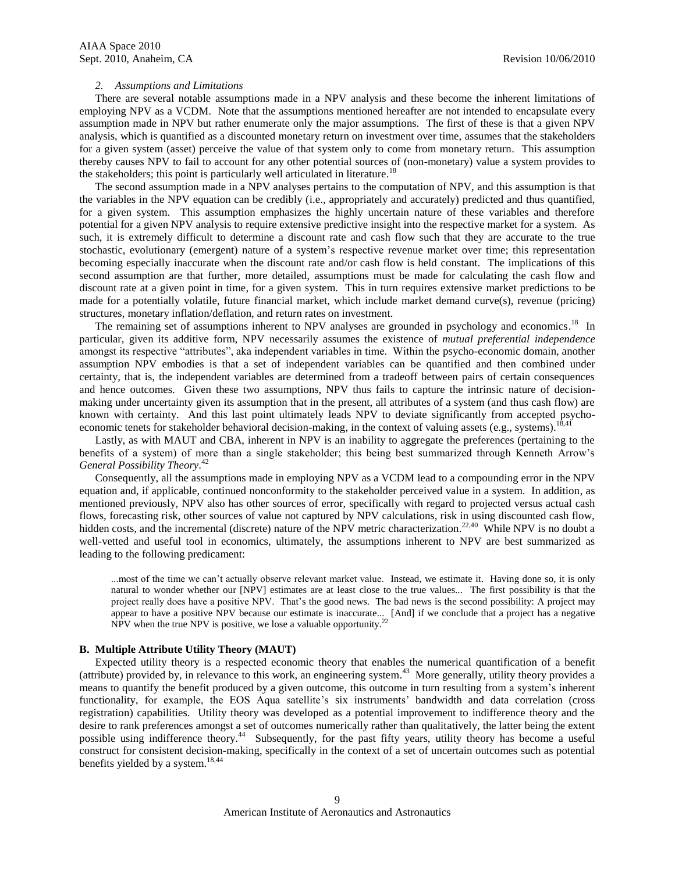# *2. Assumptions and Limitations*

There are several notable assumptions made in a NPV analysis and these become the inherent limitations of employing NPV as a VCDM. Note that the assumptions mentioned hereafter are not intended to encapsulate every assumption made in NPV but rather enumerate only the major assumptions. The first of these is that a given NPV analysis, which is quantified as a discounted monetary return on investment over time, assumes that the stakeholders for a given system (asset) perceive the value of that system only to come from monetary return. This assumption thereby causes NPV to fail to account for any other potential sources of (non-monetary) value a system provides to the stakeholders; this point is particularly well articulated in literature.<sup>[18](#page-1-3)</sup>

The second assumption made in a NPV analyses pertains to the computation of NPV, and this assumption is that the variables in the NPV equation can be credibly (i.e.*,* appropriately and accurately) predicted and thus quantified, for a given system. This assumption emphasizes the highly uncertain nature of these variables and therefore potential for a given NPV analysis to require extensive predictive insight into the respective market for a system. As such, it is extremely difficult to determine a discount rate and cash flow such that they are accurate to the true stochastic, evolutionary (emergent) nature of a system's respective revenue market over time; this representation becoming especially inaccurate when the discount rate and/or cash flow is held constant. The implications of this second assumption are that further, more detailed, assumptions must be made for calculating the cash flow and discount rate at a given point in time, for a given system. This in turn requires extensive market predictions to be made for a potentially volatile, future financial market, which include market demand curve(s), revenue (pricing) structures, monetary inflation/deflation, and return rates on investment.

The remaining set of assumptions inherent to NPV analyses are grounded in psychology and economics.<sup>[18](#page-1-3)</sup> In particular, given its additive form, NPV necessarily assumes the existence of *mutual preferential independence* amongst its respective "attributes", aka independent variables in time. Within the psycho-economic domain, another assumption NPV embodies is that a set of independent variables can be quantified and then combined under certainty, that is, the independent variables are determined from a tradeoff between pairs of certain consequences and hence outcomes. Given these two assumptions, NPV thus fails to capture the intrinsic nature of decisionmaking under uncertainty given its assumption that in the present, all attributes of a system (and thus cash flow) are known with certainty. And this last point ultimately leads NPV to deviate significantly from accepted psycho-economic tenets for stakeholder behavioral decision-making, in the context of valuing assets (e.g., systems).<sup>[18,4](#page-1-3)1</sup>

Lastly, as with MAUT and CBA, inherent in NPV is an inability to aggregate the preferences (pertaining to the benefits of a system) of more than a single stakeholder; this being best summarized through Kenneth Arrow's *General Possibility Theory*. 42

<span id="page-8-1"></span>Consequently, all the assumptions made in employing NPV as a VCDM lead to a compounding error in the NPV equation and, if applicable, continued nonconformity to the stakeholder perceived value in a system. In addition, as mentioned previously, NPV also has other sources of error, specifically with regard to projected versus actual cash flows, forecasting risk, other sources of value not captured by NPV calculations, risk in using discounted cash flow, hidden costs, and the incremental (discrete) nature of the NPV metric characterization.<sup>[22,](#page-1-2)[40](#page-7-0)</sup> While NPV is no doubt a well-vetted and useful tool in economics, ultimately, the assumptions inherent to NPV are best summarized as leading to the following predicament:

...most of the time we can't actually observe relevant market value. Instead, we estimate it. Having done so, it is only natural to wonder whether our [NPV] estimates are at least close to the true values... The first possibility is that the project really does have a positive NPV. That's the good news. The bad news is the second possibility: A project may appear to have a positive NPV because our estimate is inaccurate... [And] if we conclude that a project has a negative  $\overrightarrow{NPV}$  when the true NPV is positive, we lose a valuable opportunity.<sup>[22](#page-1-2)</sup>

#### **B. Multiple Attribute Utility Theory (MAUT)**

<span id="page-8-0"></span>Expected utility theory is a respected economic theory that enables the numerical quantification of a benefit (attribute) provided by, in relevance to this work, an engineering system. <sup>43</sup> More generally, utility theory provides a means to quantify the benefit produced by a given outcome, this outcome in turn resulting from a system's inherent functionality, for example, the EOS Aqua satellite's six instruments' bandwidth and data correlation (cross registration) capabilities. Utility theory was developed as a potential improvement to indifference theory and the desire to rank preferences amongst a set of outcomes numerically rather than qualitatively, the latter being the extent possible using indifference theory.<sup>44</sup> Subsequently, for the past fifty years, utility theory has become a useful construct for consistent decision-making, specifically in the context of a set of uncertain outcomes such as potential benefits yielded by a system.<sup>[18,](#page-1-3)[44](#page-8-0)</sup>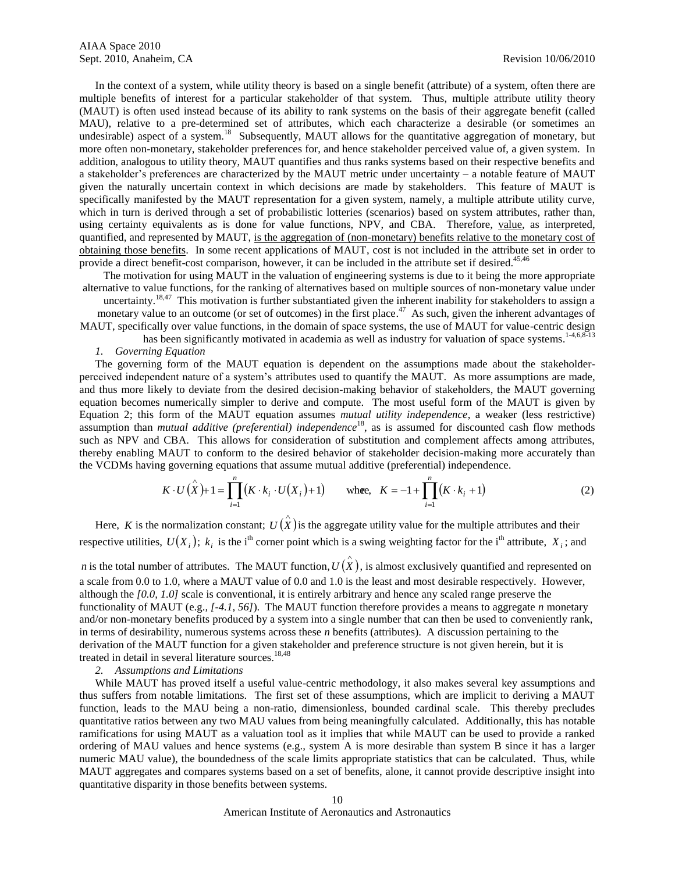In the context of a system, while utility theory is based on a single benefit (attribute) of a system, often there are multiple benefits of interest for a particular stakeholder of that system. Thus, multiple attribute utility theory (MAUT) is often used instead because of its ability to rank systems on the basis of their aggregate benefit (called MAU), relative to a pre-determined set of attributes, which each characterize a desirable (or sometimes an undesirable) aspect of a system.<sup>[18](#page-1-3)</sup> Subsequently, MAUT allows for the quantitative aggregation of monetary, but more often non-monetary, stakeholder preferences for, and hence stakeholder perceived value of, a given system. In addition, analogous to utility theory, MAUT quantifies and thus ranks systems based on their respective benefits and a stakeholder's preferences are characterized by the MAUT metric under uncertainty – a notable feature of MAUT given the naturally uncertain context in which decisions are made by stakeholders. This feature of MAUT is specifically manifested by the MAUT representation for a given system, namely, a multiple attribute utility curve, which in turn is derived through a set of probabilistic lotteries (scenarios) based on system attributes, rather than, using certainty equivalents as is done for value functions, NPV, and CBA. Therefore, value, as interpreted, quantified, and represented by MAUT, is the aggregation of (non-monetary) benefits relative to the monetary cost of obtaining those benefits. In some recent applications of MAUT, cost is not included in the attribute set in order to provide a direct benefit-cost comparison, however, it can be included in the attribute set if desired.<sup>45,46</sup>

The motivation for using MAUT in the valuation of engineering systems is due to it being the more appropriate alternative to value functions, for the ranking of alternatives based on multiple sources of non-monetary value under

uncertainty.<sup>[18,4](#page-1-3)7</sup> This motivation is further substantiated given the inherent inability for stakeholders to assign a monetary value to an outcome (or set of outcomes) in the first place.<sup>[47](#page-9-0)</sup> As such, given the inherent advantages of MAUT, specifically over value functions, in the domain of space systems, the use of MAUT for value-centric design

<span id="page-9-2"></span><span id="page-9-1"></span><span id="page-9-0"></span>has been significantly motivated in academia as well as industry for valuation of space systems.<sup>[1](#page-0-4)[-4,](#page-0-2)[6,](#page-0-5)[8-](#page-0-6)[13](#page-0-1)</sup>

## *1. Governing Equation*

The governing form of the MAUT equation is dependent on the assumptions made about the stakeholderperceived independent nature of a system's attributes used to quantify the MAUT. As more assumptions are made, and thus more likely to deviate from the desired decision-making behavior of stakeholders, the MAUT governing equation becomes numerically simpler to derive and compute. The most useful form of the MAUT is given by Equation 2; this form of the MAUT equation assumes *mutual utility independence*, a weaker (less restrictive) assumption than *mutual additive (preferential) independence*[18](#page-1-3), as is assumed for discounted cash flow methods such as NPV and CBA. This allows for consideration of substitution and complement affects among attributes, thereby enabling MAUT to conform to the desired behavior of stakeholder decision-making more accurately than the VCDMs having governing equations that assume mutual additive (preferential) independence.

$$
K \cdot U(\hat{X}) + 1 = \prod_{i=1}^{n} (K \cdot k_i \cdot U(X_i) + 1) \quad \text{where,} \quad K = -1 + \prod_{i=1}^{n} (K \cdot k_i + 1) \tag{2}
$$

Here, K is the normalization constant;  $U(\hat{X})$  is the aggregate utility value for the multiple attributes and their respective utilities,  $U(X_i)$ ;  $k_i$  is the i<sup>th</sup> corner point which is a swing weighting factor for the i<sup>th</sup> attribute,  $X_i$ ; and

*n* is the total number of attributes. The MAUT function,  $U(\hat{X})$ , is almost exclusively quantified and represented on a scale from 0.0 to 1.0, where a MAUT value of 0.0 and 1.0 is the least and most desirable respectively. However, although the *[0.0, 1.0]* scale is conventional, it is entirely arbitrary and hence any scaled range preserve the functionality of MAUT (e.g.*, [-4.1, 56]*). The MAUT function therefore provides a means to aggregate *n* monetary and/or non-monetary benefits produced by a system into a single number that can then be used to conveniently rank, in terms of desirability, numerous systems across these *n* benefits (attributes). A discussion pertaining to the derivation of the MAUT function for a given stakeholder and preference structure is not given herein, but it is treated in detail in several literature sources. [18,4](#page-1-3)8

*2. Assumptions and Limitations*

While MAUT has proved itself a useful value-centric methodology, it also makes several key assumptions and thus suffers from notable limitations. The first set of these assumptions, which are implicit to deriving a MAUT function, leads to the MAU being a non-ratio, dimensionless, bounded cardinal scale. This thereby precludes quantitative ratios between any two MAU values from being meaningfully calculated. Additionally, this has notable ramifications for using MAUT as a valuation tool as it implies that while MAUT can be used to provide a ranked ordering of MAU values and hence systems (e.g.*,* system A is more desirable than system B since it has a larger numeric MAU value), the boundedness of the scale limits appropriate statistics that can be calculated. Thus, while MAUT aggregates and compares systems based on a set of benefits, alone, it cannot provide descriptive insight into quantitative disparity in those benefits between systems.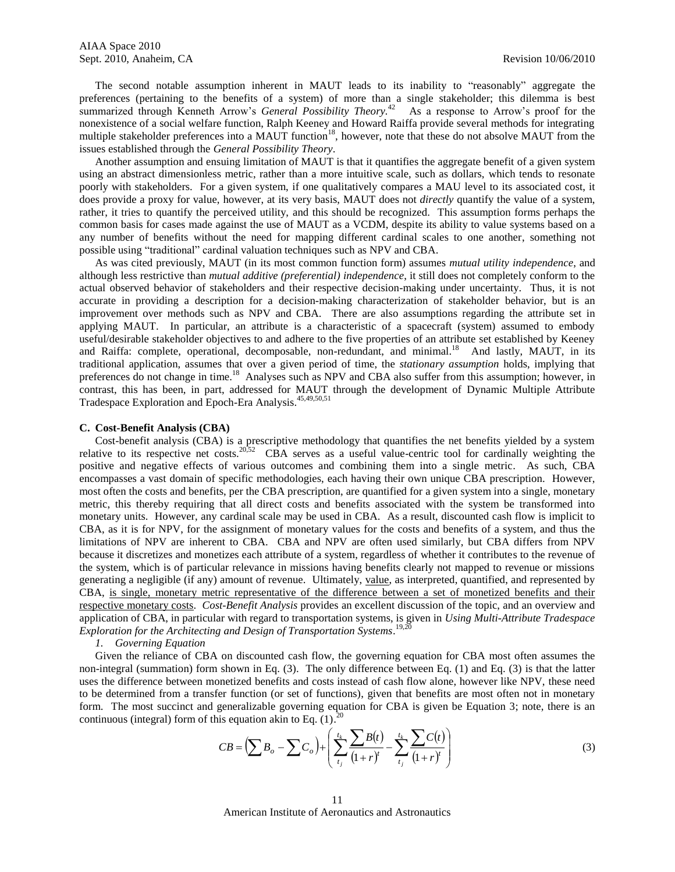The second notable assumption inherent in MAUT leads to its inability to "reasonably" aggregate the preferences (pertaining to the benefits of a system) of more than a single stakeholder; this dilemma is best summarized through Kenneth Arrow's *General Possibility Theory*.<sup>[42](#page-8-1)</sup> As a response to Arrow's proof for the nonexistence of a social welfare function, Ralph Keeney and Howard Raiffa provide several methods for integrating multiple stakeholder preferences into a MAUT function<sup>[18](#page-1-3)</sup>, however, note that these do not absolve MAUT from the issues established through the *General Possibility Theory*.

Another assumption and ensuing limitation of MAUT is that it quantifies the aggregate benefit of a given system using an abstract dimensionless metric, rather than a more intuitive scale, such as dollars, which tends to resonate poorly with stakeholders. For a given system, if one qualitatively compares a MAU level to its associated cost, it does provide a proxy for value, however, at its very basis, MAUT does not *directly* quantify the value of a system, rather, it tries to quantify the perceived utility, and this should be recognized. This assumption forms perhaps the common basis for cases made against the use of MAUT as a VCDM, despite its ability to value systems based on a any number of benefits without the need for mapping different cardinal scales to one another, something not possible using "traditional" cardinal valuation techniques such as NPV and CBA.

As was cited previously, MAUT (in its most common function form) assumes *mutual utility independence*, and although less restrictive than *mutual additive (preferential) independence*, it still does not completely conform to the actual observed behavior of stakeholders and their respective decision-making under uncertainty. Thus, it is not accurate in providing a description for a decision-making characterization of stakeholder behavior, but is an improvement over methods such as NPV and CBA. There are also assumptions regarding the attribute set in applying MAUT. In particular, an attribute is a characteristic of a spacecraft (system) assumed to embody useful/desirable stakeholder objectives to and adhere to the five properties of an attribute set established by Keeney and Raiffa: complete, operational, decomposable, non-redundant, and minimal.<sup>[18](#page-1-3)</sup> And lastly, MAUT, in its traditional application, assumes that over a given period of time, the *stationary assumption* holds, implying that preferences do not change in time.<sup>[18](#page-1-3)</sup> Analyses such as NPV and CBA also suffer from this assumption; however, in contrast, this has been, in part, addressed for MAUT through the development of Dynamic Multiple Attribute Tradespace Exploration and Epoch-Era Analysis. [45,4](#page-9-1)9,50,51

#### **C. Cost-Benefit Analysis (CBA)**

Cost-benefit analysis (CBA) is a prescriptive methodology that quantifies the net benefits yielded by a system relative to its respective net costs.<sup>[20,5](#page-1-4)2</sup> CBA serves as a useful value-centric tool for cardinally weighting the positive and negative effects of various outcomes and combining them into a single metric. As such, CBA encompasses a vast domain of specific methodologies, each having their own unique CBA prescription. However, most often the costs and benefits, per the CBA prescription, are quantified for a given system into a single, monetary metric, this thereby requiring that all direct costs and benefits associated with the system be transformed into monetary units. However, any cardinal scale may be used in CBA. As a result, discounted cash flow is implicit to CBA, as it is for NPV, for the assignment of monetary values for the costs and benefits of a system, and thus the limitations of NPV are inherent to CBA. CBA and NPV are often used similarly, but CBA differs from NPV because it discretizes and monetizes each attribute of a system, regardless of whether it contributes to the revenue of the system, which is of particular relevance in missions having benefits clearly not mapped to revenue or missions generating a negligible (if any) amount of revenue. Ultimately, value, as interpreted, quantified, and represented by CBA, is single, monetary metric representative of the difference between a set of monetized benefits and their respective monetary costs. *Cost-Benefit Analysis* provides an excellent discussion of the topic, and an overview and application of CBA, in particular with regard to transportation systems, is given in *Using Multi-Attribute Tradespace Exploration for the Architecting and Design of Transportation Systems*. [19,](#page-1-5)[20](#page-1-4)

*1. Governing Equation*

Given the reliance of CBA on discounted cash flow, the governing equation for CBA most often assumes the non-integral (summation) form shown in Eq. (3). The only difference between Eq. (1) and Eq. (3) is that the latter uses the difference between monetized benefits and costs instead of cash flow alone, however like NPV, these need to be determined from a transfer function (or set of functions), given that benefits are most often not in monetary form. The most succinct and generalizable governing equation for CBA is given be Equation 3; note, there is an continuous (integral) form of this equation akin to Eq.  $(1)$ .<sup>[20](#page-1-4)</sup>

$$
CB = \left(\sum B_o - \sum C_o\right) + \left(\sum_{t_j}^{t_k} \frac{\sum B(t)}{(1+r)^t} - \sum_{t_j}^{t_k} \frac{\sum C(t)}{(1+r)^t}\right) \tag{3}
$$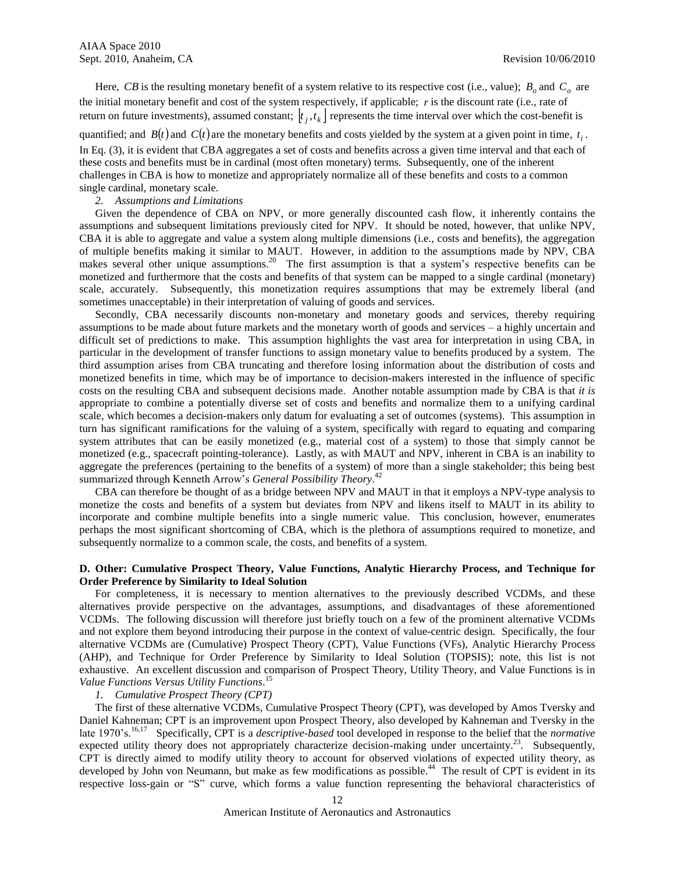Here, CB is the resulting monetary benefit of a system relative to its respective cost (i.e., value);  $B_o$  and  $C_o$  are the initial monetary benefit and cost of the system respectively, if applicable; *r* is the discount rate (i.e.*,* rate of return on future investments), assumed constant;  $[t_j, t_k]$  represents the time interval over which the cost-benefit is quantified; and  $B(t)$  and  $C(t)$  are the monetary benefits and costs yielded by the system at a given point in time,  $t_i$ . In Eq. (3), it is evident that CBA aggregates a set of costs and benefits across a given time interval and that each of

these costs and benefits must be in cardinal (most often monetary) terms. Subsequently, one of the inherent challenges in CBA is how to monetize and appropriately normalize all of these benefits and costs to a common single cardinal, monetary scale.

#### *2. Assumptions and Limitations*

Given the dependence of CBA on NPV, or more generally discounted cash flow, it inherently contains the assumptions and subsequent limitations previously cited for NPV. It should be noted, however, that unlike NPV, CBA it is able to aggregate and value a system along multiple dimensions (i.e.*,* costs and benefits), the aggregation of multiple benefits making it similar to MAUT. However, in addition to the assumptions made by NPV, CBA makes several other unique assumptions.<sup>[20](#page-1-4)</sup> The first assumption is that a system's respective benefits can be monetized and furthermore that the costs and benefits of that system can be mapped to a single cardinal (monetary) scale, accurately. Subsequently, this monetization requires assumptions that may be extremely liberal (and sometimes unacceptable) in their interpretation of valuing of goods and services.

Secondly, CBA necessarily discounts non-monetary and monetary goods and services, thereby requiring assumptions to be made about future markets and the monetary worth of goods and services – a highly uncertain and difficult set of predictions to make. This assumption highlights the vast area for interpretation in using CBA, in particular in the development of transfer functions to assign monetary value to benefits produced by a system. The third assumption arises from CBA truncating and therefore losing information about the distribution of costs and monetized benefits in time, which may be of importance to decision-makers interested in the influence of specific costs on the resulting CBA and subsequent decisions made. Another notable assumption made by CBA is that *it is* appropriate to combine a potentially diverse set of costs and benefits and normalize them to a unifying cardinal scale, which becomes a decision-makers only datum for evaluating a set of outcomes (systems). This assumption in turn has significant ramifications for the valuing of a system, specifically with regard to equating and comparing system attributes that can be easily monetized (e.g.*,* material cost of a system) to those that simply cannot be monetized (e.g.*,* spacecraft pointing-tolerance). Lastly, as with MAUT and NPV, inherent in CBA is an inability to aggregate the preferences (pertaining to the benefits of a system) of more than a single stakeholder; this being best summarized through Kenneth Arrow's *General Possibility Theory*. [42](#page-8-1)

CBA can therefore be thought of as a bridge between NPV and MAUT in that it employs a NPV-type analysis to monetize the costs and benefits of a system but deviates from NPV and likens itself to MAUT in its ability to incorporate and combine multiple benefits into a single numeric value. This conclusion, however, enumerates perhaps the most significant shortcoming of CBA, which is the plethora of assumptions required to monetize, and subsequently normalize to a common scale, the costs, and benefits of a system.

# **D. Other: Cumulative Prospect Theory, Value Functions, Analytic Hierarchy Process, and Technique for Order Preference by Similarity to Ideal Solution**

For completeness, it is necessary to mention alternatives to the previously described VCDMs, and these alternatives provide perspective on the advantages, assumptions, and disadvantages of these aforementioned VCDMs. The following discussion will therefore just briefly touch on a few of the prominent alternative VCDMs and not explore them beyond introducing their purpose in the context of value-centric design. Specifically, the four alternative VCDMs are (Cumulative) Prospect Theory (CPT), Value Functions (VFs), Analytic Hierarchy Process (AHP), and Technique for Order Preference by Similarity to Ideal Solution (TOPSIS); note, this list is not exhaustive. An excellent discussion and comparison of Prospect Theory, Utility Theory, and Value Functions is in *Value Functions Versus Utility Functions*. [15](#page-1-6)

#### *1. Cumulative Prospect Theory (CPT)*

The first of these alternative VCDMs, Cumulative Prospect Theory (CPT), was developed by Amos Tversky and Daniel Kahneman; CPT is an improvement upon Prospect Theory, also developed by Kahneman and Tversky in the late 1970's. [16,](#page-1-0)[17](#page-1-1) Specifically, CPT is a *descriptive-based* tool developed in response to the belief that the *normative* expected utility theory does not appropriately characterize decision-making under uncertainty.<sup>[23](#page-1-7)</sup>. Subsequently, CPT is directly aimed to modify utility theory to account for observed violations of expected utility theory, as developed by John von Neumann, but make as few modifications as possible.<sup>[44](#page-8-0)</sup> The result of CPT is evident in its respective loss-gain or "S" curve, which forms a value function representing the behavioral characteristics of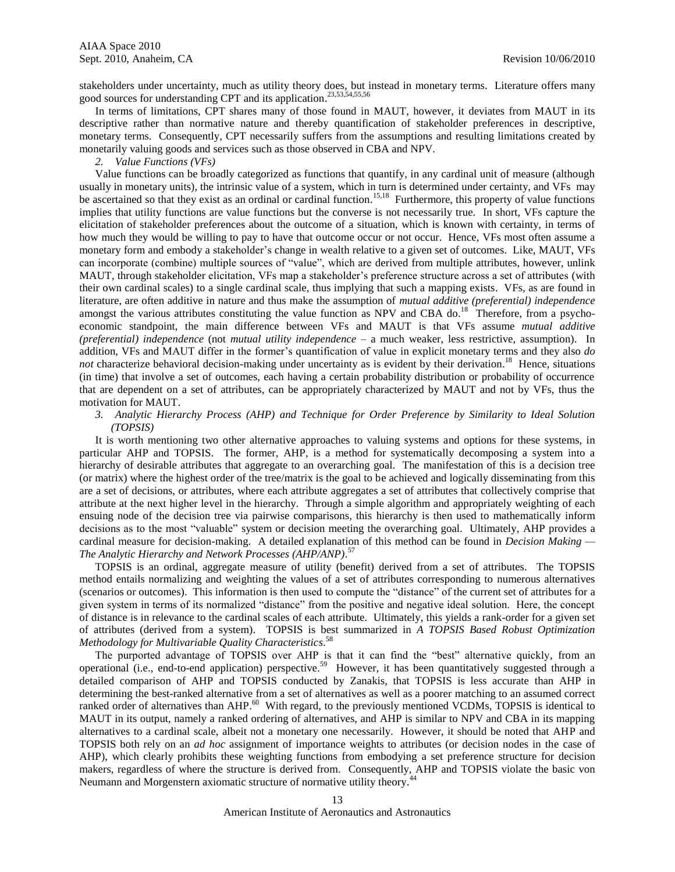stakeholders under uncertainty, much as utility theory does, but instead in monetary terms. Literature offers many good sources for understanding CPT and its application. [23,5](#page-1-7)3,54,55,56

In terms of limitations, CPT shares many of those found in MAUT, however, it deviates from MAUT in its descriptive rather than normative nature and thereby quantification of stakeholder preferences in descriptive, monetary terms. Consequently, CPT necessarily suffers from the assumptions and resulting limitations created by monetarily valuing goods and services such as those observed in CBA and NPV.

*2. Value Functions (VFs)*

Value functions can be broadly categorized as functions that quantify, in any cardinal unit of measure (although usually in monetary units), the intrinsic value of a system, which in turn is determined under certainty, and VFs may be ascertained so that they exist as an ordinal or cardinal function.<sup>[15,](#page-1-6)[18](#page-1-3)</sup> Furthermore, this property of value functions implies that utility functions are value functions but the converse is not necessarily true. In short, VFs capture the elicitation of stakeholder preferences about the outcome of a situation, which is known with certainty, in terms of how much they would be willing to pay to have that outcome occur or not occur. Hence, VFs most often assume a monetary form and embody a stakeholder's change in wealth relative to a given set of outcomes. Like, MAUT, VFs can incorporate (combine) multiple sources of "value", which are derived from multiple attributes, however, unlink MAUT, through stakeholder elicitation, VFs map a stakeholder's preference structure across a set of attributes (with their own cardinal scales) to a single cardinal scale, thus implying that such a mapping exists. VFs, as are found in literature, are often additive in nature and thus make the assumption of *mutual additive (preferential) independence* amongst the various attributes constituting the value function as NPV and CBA do.<sup>[18](#page-1-3)</sup> Therefore, from a psychoeconomic standpoint, the main difference between VFs and MAUT is that VFs assume *mutual additive (preferential) independence* (not *mutual utility independence –* a much weaker, less restrictive, assumption). In addition, VFs and MAUT differ in the former's quantification of value in explicit monetary terms and they also *do*  not characterize behavioral decision-making under uncertainty as is evident by their derivation.<sup>[18](#page-1-3)</sup> Hence, situations (in time) that involve a set of outcomes, each having a certain probability distribution or probability of occurrence that are dependent on a set of attributes, can be appropriately characterized by MAUT and not by VFs, thus the motivation for MAUT.

*3. Analytic Hierarchy Process (AHP) and Technique for Order Preference by Similarity to Ideal Solution (TOPSIS)* 

It is worth mentioning two other alternative approaches to valuing systems and options for these systems, in particular AHP and TOPSIS. The former, AHP, is a method for systematically decomposing a system into a hierarchy of desirable attributes that aggregate to an overarching goal. The manifestation of this is a decision tree (or matrix) where the highest order of the tree/matrix is the goal to be achieved and logically disseminating from this are a set of decisions, or attributes, where each attribute aggregates a set of attributes that collectively comprise that attribute at the next higher level in the hierarchy. Through a simple algorithm and appropriately weighting of each ensuing node of the decision tree via pairwise comparisons, this hierarchy is then used to mathematically inform decisions as to the most "valuable" system or decision meeting the overarching goal. Ultimately, AHP provides a cardinal measure for decision-making. A detailed explanation of this method can be found in *Decision Making — The Analytic Hierarchy and Network Processes (AHP/ANP)*. 57

<span id="page-12-0"></span>TOPSIS is an ordinal, aggregate measure of utility (benefit) derived from a set of attributes. The TOPSIS method entails normalizing and weighting the values of a set of attributes corresponding to numerous alternatives (scenarios or outcomes). This information is then used to compute the "distance" of the current set of attributes for a given system in terms of its normalized "distance" from the positive and negative ideal solution. Here, the concept of distance is in relevance to the cardinal scales of each attribute. Ultimately, this yields a rank-order for a given set of attributes (derived from a system). TOPSIS is best summarized in *A TOPSIS Based Robust Optimization Methodology for Multivariable Quality Characteristics*. 58

<span id="page-12-1"></span>The purported advantage of TOPSIS over AHP is that it can find the "best" alternative quickly, from an operational (i.e.*,* end-to-end application) perspective. 59 However, it has been quantitatively suggested through a detailed comparison of AHP and TOPSIS conducted by Zanakis, that TOPSIS is less accurate than AHP in determining the best-ranked alternative from a set of alternatives as well as a poorer matching to an assumed correct ranked order of alternatives than AHP.<sup>60</sup> With regard, to the previously mentioned VCDMs, TOPSIS is identical to MAUT in its output, namely a ranked ordering of alternatives, and AHP is similar to NPV and CBA in its mapping alternatives to a cardinal scale, albeit not a monetary one necessarily. However, it should be noted that AHP and TOPSIS both rely on an *ad hoc* assignment of importance weights to attributes (or decision nodes in the case of AHP), which clearly prohibits these weighting functions from embodying a set preference structure for decision makers, regardless of where the structure is derived from. Consequently, AHP and TOPSIS violate the basic von Neumann and Morgenstern axiomatic structure of normative utility theory.<sup>[44](#page-8-0)</sup>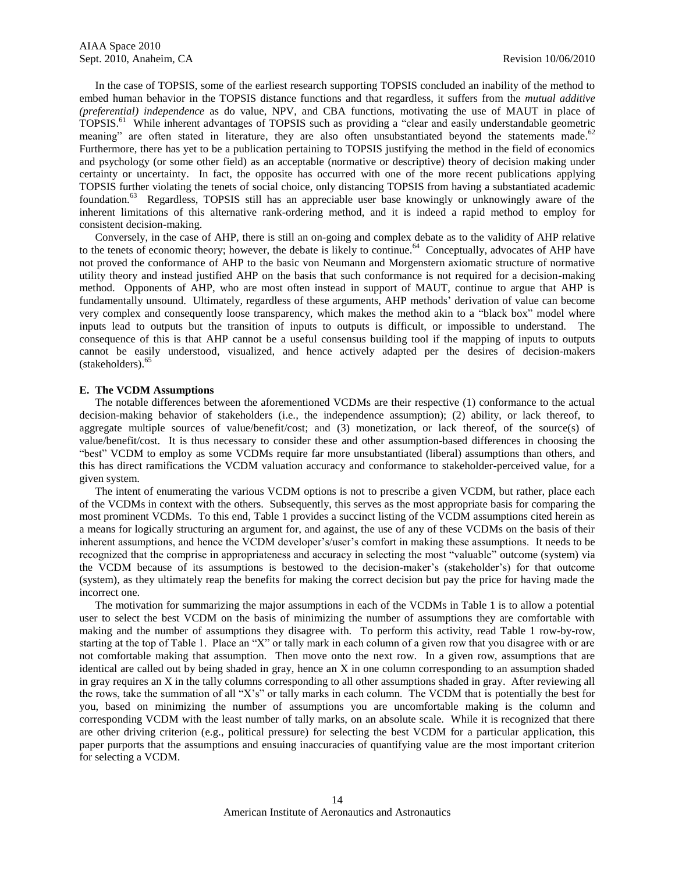In the case of TOPSIS, some of the earliest research supporting TOPSIS concluded an inability of the method to embed human behavior in the TOPSIS distance functions and that regardless, it suffers from the *mutual additive (preferential) independence* as do value, NPV, and CBA functions, motivating the use of MAUT in place of TOPSIS.<sup>61</sup> While inherent advantages of TOPSIS such as providing a "clear and easily understandable geometric meaning" are often stated in literature, they are also often unsubstantiated beyond the statements made.<sup>62</sup> Furthermore, there has yet to be a publication pertaining to TOPSIS justifying the method in the field of economics and psychology (or some other field) as an acceptable (normative or descriptive) theory of decision making under certainty or uncertainty. In fact, the opposite has occurred with one of the more recent publications applying TOPSIS further violating the tenets of social choice, only distancing TOPSIS from having a substantiated academic foundation.<sup>63</sup> Regardless, TOPSIS still has an appreciable user base knowingly or unknowingly aware of the inherent limitations of this alternative rank-ordering method, and it is indeed a rapid method to employ for consistent decision-making.

Conversely, in the case of AHP, there is still an on-going and complex debate as to the validity of AHP relative to the tenets of economic theory; however, the debate is likely to continue.<sup>64</sup> Conceptually, advocates of AHP have not proved the conformance of AHP to the basic von Neumann and Morgenstern axiomatic structure of normative utility theory and instead justified AHP on the basis that such conformance is not required for a decision-making method. Opponents of AHP, who are most often instead in support of MAUT, continue to argue that AHP is fundamentally unsound. Ultimately, regardless of these arguments, AHP methods' derivation of value can become very complex and consequently loose transparency, which makes the method akin to a "black box" model where inputs lead to outputs but the transition of inputs to outputs is difficult, or impossible to understand. The consequence of this is that AHP cannot be a useful consensus building tool if the mapping of inputs to outputs cannot be easily understood, visualized, and hence actively adapted per the desires of decision-makers (stakeholders). 65

#### **E. The VCDM Assumptions**

The notable differences between the aforementioned VCDMs are their respective (1) conformance to the actual decision-making behavior of stakeholders (i.e.*,* the independence assumption); (2) ability, or lack thereof, to aggregate multiple sources of value/benefit/cost; and (3) monetization, or lack thereof, of the source(s) of value/benefit/cost. It is thus necessary to consider these and other assumption-based differences in choosing the "best" VCDM to employ as some VCDMs require far more unsubstantiated (liberal) assumptions than others, and this has direct ramifications the VCDM valuation accuracy and conformance to stakeholder-perceived value, for a given system.

The intent of enumerating the various VCDM options is not to prescribe a given VCDM, but rather, place each of the VCDMs in context with the others. Subsequently, this serves as the most appropriate basis for comparing the most prominent VCDMs. To this end, [Table 1](#page-14-0) provides a succinct listing of the VCDM assumptions cited herein as a means for logically structuring an argument for, and against, the use of any of these VCDMs on the basis of their inherent assumptions, and hence the VCDM developer's/user's comfort in making these assumptions. It needs to be recognized that the comprise in appropriateness and accuracy in selecting the most "valuable" outcome (system) via the VCDM because of its assumptions is bestowed to the decision-maker's (stakeholder's) for that outcome (system), as they ultimately reap the benefits for making the correct decision but pay the price for having made the incorrect one.

The motivation for summarizing the major assumptions in each of the VCDMs in Table 1 is to allow a potential user to select the best VCDM on the basis of minimizing the number of assumptions they are comfortable with making and the number of assumptions they disagree with. To perform this activity, read Table 1 row-by-row, starting at the top of Table 1. Place an "X" or tally mark in each column of a given row that you disagree with or are not comfortable making that assumption. Then move onto the next row. In a given row, assumptions that are identical are called out by being shaded in gray, hence an X in one column corresponding to an assumption shaded in gray requires an X in the tally columns corresponding to all other assumptions shaded in gray. After reviewing all the rows, take the summation of all "X's" or tally marks in each column. The VCDM that is potentially the best for you, based on minimizing the number of assumptions you are uncomfortable making is the column and corresponding VCDM with the least number of tally marks, on an absolute scale. While it is recognized that there are other driving criterion (e.g.*,* political pressure) for selecting the best VCDM for a particular application, this paper purports that the assumptions and ensuing inaccuracies of quantifying value are the most important criterion for selecting a VCDM.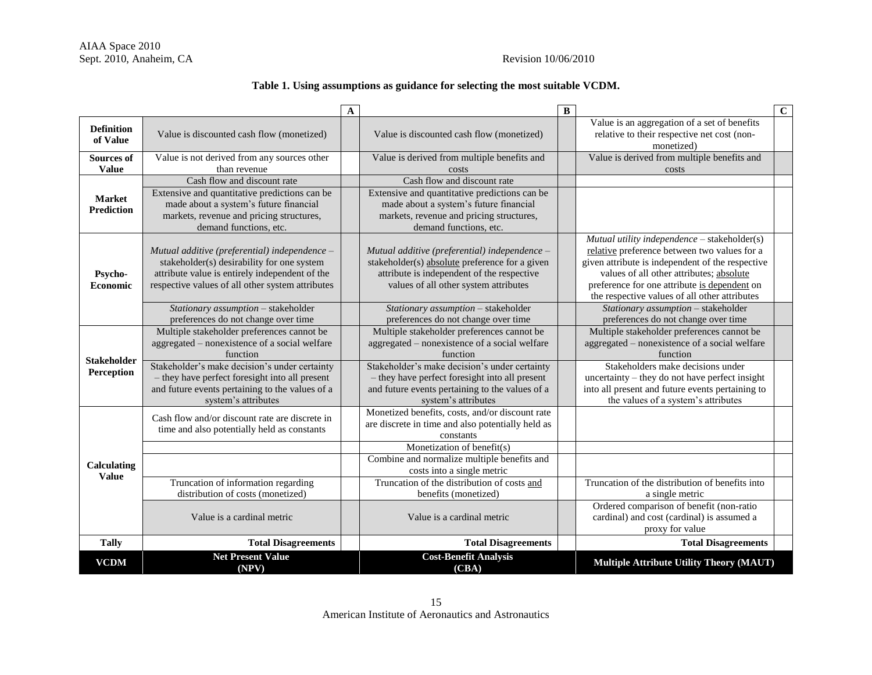# **Table 1. Using assumptions as guidance for selecting the most suitable VCDM.**

<span id="page-14-0"></span>

|                                         |                                                                                                                                                                                                   | $\mathbf{A}$ |                                                                                                                                                                                              | $\bf{B}$ |                                                                                                                                                                                                                                                                                               | $\overline{c}$ |
|-----------------------------------------|---------------------------------------------------------------------------------------------------------------------------------------------------------------------------------------------------|--------------|----------------------------------------------------------------------------------------------------------------------------------------------------------------------------------------------|----------|-----------------------------------------------------------------------------------------------------------------------------------------------------------------------------------------------------------------------------------------------------------------------------------------------|----------------|
| <b>Definition</b><br>of Value           | Value is discounted cash flow (monetized)                                                                                                                                                         |              | Value is discounted cash flow (monetized)                                                                                                                                                    |          | Value is an aggregation of a set of benefits<br>relative to their respective net cost (non-<br>monetized)                                                                                                                                                                                     |                |
| <b>Sources of</b>                       | Value is not derived from any sources other                                                                                                                                                       |              | Value is derived from multiple benefits and                                                                                                                                                  |          | Value is derived from multiple benefits and                                                                                                                                                                                                                                                   |                |
| <b>Value</b>                            | than revenue                                                                                                                                                                                      |              | costs                                                                                                                                                                                        |          | costs                                                                                                                                                                                                                                                                                         |                |
| <b>Market</b><br><b>Prediction</b>      | Cash flow and discount rate<br>Extensive and quantitative predictions can be<br>made about a system's future financial<br>markets, revenue and pricing structures,<br>demand functions, etc.      |              | Cash flow and discount rate<br>Extensive and quantitative predictions can be<br>made about a system's future financial<br>markets, revenue and pricing structures,<br>demand functions, etc. |          |                                                                                                                                                                                                                                                                                               |                |
| <b>Psycho-</b><br>Economic              | Mutual additive (preferential) independence -<br>stakeholder(s) desirability for one system<br>attribute value is entirely independent of the<br>respective values of all other system attributes |              | Mutual additive (preferential) independence -<br>stakeholder(s) absolute preference for a given<br>attribute is independent of the respective<br>values of all other system attributes       |          | Mutual utility independence - stakeholder(s)<br>relative preference between two values for a<br>given attribute is independent of the respective<br>values of all other attributes; absolute<br>preference for one attribute is dependent on<br>the respective values of all other attributes |                |
|                                         | Stationary assumption - stakeholder<br>preferences do not change over time                                                                                                                        |              | Stationary assumption - stakeholder<br>preferences do not change over time                                                                                                                   |          | Stationary assumption - stakeholder<br>preferences do not change over time                                                                                                                                                                                                                    |                |
| <b>Stakeholder</b><br><b>Perception</b> | Multiple stakeholder preferences cannot be<br>aggregated – nonexistence of a social welfare<br>function                                                                                           |              | Multiple stakeholder preferences cannot be<br>aggregated - nonexistence of a social welfare<br>function                                                                                      |          | Multiple stakeholder preferences cannot be<br>aggregated – nonexistence of a social welfare<br>function                                                                                                                                                                                       |                |
|                                         | Stakeholder's make decision's under certainty<br>- they have perfect foresight into all present<br>and future events pertaining to the values of a<br>system's attributes                         |              | Stakeholder's make decision's under certainty<br>- they have perfect foresight into all present<br>and future events pertaining to the values of a<br>system's attributes                    |          | Stakeholders make decisions under<br>uncertainty – they do not have perfect insight<br>into all present and future events pertaining to<br>the values of a system's attributes                                                                                                                |                |
| Calculating<br><b>Value</b>             | Cash flow and/or discount rate are discrete in<br>time and also potentially held as constants                                                                                                     |              | Monetized benefits, costs, and/or discount rate<br>are discrete in time and also potentially held as<br>constants                                                                            |          |                                                                                                                                                                                                                                                                                               |                |
|                                         |                                                                                                                                                                                                   |              | Monetization of benefit(s)<br>Combine and normalize multiple benefits and<br>costs into a single metric                                                                                      |          |                                                                                                                                                                                                                                                                                               |                |
|                                         | Truncation of information regarding<br>distribution of costs (monetized)                                                                                                                          |              | Truncation of the distribution of costs and<br>benefits (monetized)                                                                                                                          |          | Truncation of the distribution of benefits into<br>a single metric                                                                                                                                                                                                                            |                |
|                                         | Value is a cardinal metric                                                                                                                                                                        |              | Value is a cardinal metric                                                                                                                                                                   |          | Ordered comparison of benefit (non-ratio<br>cardinal) and cost (cardinal) is assumed a<br>proxy for value                                                                                                                                                                                     |                |
| <b>Tally</b>                            | <b>Total Disagreements</b>                                                                                                                                                                        |              | <b>Total Disagreements</b>                                                                                                                                                                   |          | <b>Total Disagreements</b>                                                                                                                                                                                                                                                                    |                |
| <b>VCDM</b>                             | <b>Net Present Value</b><br>(NPV)                                                                                                                                                                 |              | <b>Cost-Benefit Analysis</b><br>(CBA)                                                                                                                                                        |          | <b>Multiple Attribute Utility Theory (MAUT)</b>                                                                                                                                                                                                                                               |                |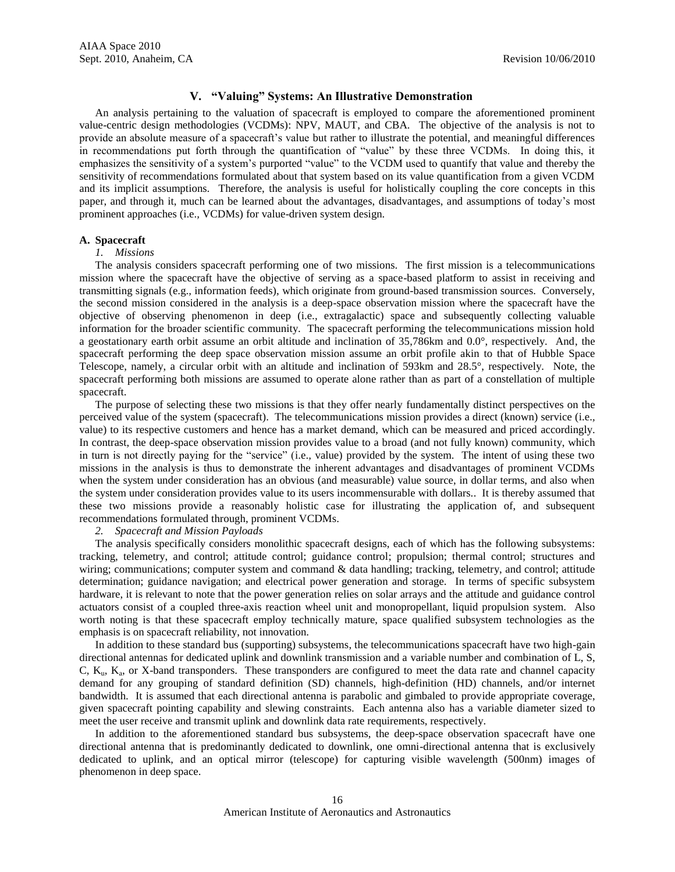# **V. "Valuing" Systems: An Illustrative Demonstration**

An analysis pertaining to the valuation of spacecraft is employed to compare the aforementioned prominent value-centric design methodologies (VCDMs): NPV, MAUT, and CBA. The objective of the analysis is not to provide an absolute measure of a spacecraft's value but rather to illustrate the potential, and meaningful differences in recommendations put forth through the quantification of "value" by these three VCDMs. In doing this, it emphasizes the sensitivity of a system's purported "value" to the VCDM used to quantify that value and thereby the sensitivity of recommendations formulated about that system based on its value quantification from a given VCDM and its implicit assumptions. Therefore, the analysis is useful for holistically coupling the core concepts in this paper, and through it, much can be learned about the advantages, disadvantages, and assumptions of today's most prominent approaches (i.e.*,* VCDMs) for value-driven system design.

# **A. Spacecraft**

#### *1. Missions*

The analysis considers spacecraft performing one of two missions. The first mission is a telecommunications mission where the spacecraft have the objective of serving as a space-based platform to assist in receiving and transmitting signals (e.g.*,* information feeds), which originate from ground-based transmission sources. Conversely, the second mission considered in the analysis is a deep-space observation mission where the spacecraft have the objective of observing phenomenon in deep (i.e.*,* extragalactic) space and subsequently collecting valuable information for the broader scientific community. The spacecraft performing the telecommunications mission hold a geostationary earth orbit assume an orbit altitude and inclination of 35,786km and 0.0°, respectively. And, the spacecraft performing the deep space observation mission assume an orbit profile akin to that of Hubble Space Telescope, namely, a circular orbit with an altitude and inclination of 593km and 28.5°, respectively. Note, the spacecraft performing both missions are assumed to operate alone rather than as part of a constellation of multiple spacecraft.

The purpose of selecting these two missions is that they offer nearly fundamentally distinct perspectives on the perceived value of the system (spacecraft). The telecommunications mission provides a direct (known) service (i.e.*,*  value) to its respective customers and hence has a market demand, which can be measured and priced accordingly. In contrast, the deep-space observation mission provides value to a broad (and not fully known) community, which in turn is not directly paying for the "service" (i.e., value) provided by the system. The intent of using these two missions in the analysis is thus to demonstrate the inherent advantages and disadvantages of prominent VCDMs when the system under consideration has an obvious (and measurable) value source, in dollar terms, and also when the system under consideration provides value to its users incommensurable with dollars.. It is thereby assumed that these two missions provide a reasonably holistic case for illustrating the application of, and subsequent recommendations formulated through, prominent VCDMs.

#### *2. Spacecraft and Mission Payloads*

The analysis specifically considers monolithic spacecraft designs, each of which has the following subsystems: tracking, telemetry, and control; attitude control; guidance control; propulsion; thermal control; structures and wiring; communications; computer system and command & data handling; tracking, telemetry, and control; attitude determination; guidance navigation; and electrical power generation and storage. In terms of specific subsystem hardware, it is relevant to note that the power generation relies on solar arrays and the attitude and guidance control actuators consist of a coupled three-axis reaction wheel unit and monopropellant, liquid propulsion system. Also worth noting is that these spacecraft employ technically mature, space qualified subsystem technologies as the emphasis is on spacecraft reliability, not innovation.

In addition to these standard bus (supporting) subsystems, the telecommunications spacecraft have two high-gain directional antennas for dedicated uplink and downlink transmission and a variable number and combination of L, S,  $C$ ,  $K_u$ ,  $K_a$ , or X-band transponders. These transponders are configured to meet the data rate and channel capacity demand for any grouping of standard definition (SD) channels, high-definition (HD) channels, and/or internet bandwidth. It is assumed that each directional antenna is parabolic and gimbaled to provide appropriate coverage, given spacecraft pointing capability and slewing constraints. Each antenna also has a variable diameter sized to meet the user receive and transmit uplink and downlink data rate requirements, respectively.

In addition to the aforementioned standard bus subsystems, the deep-space observation spacecraft have one directional antenna that is predominantly dedicated to downlink, one omni-directional antenna that is exclusively dedicated to uplink, and an optical mirror (telescope) for capturing visible wavelength (500nm) images of phenomenon in deep space.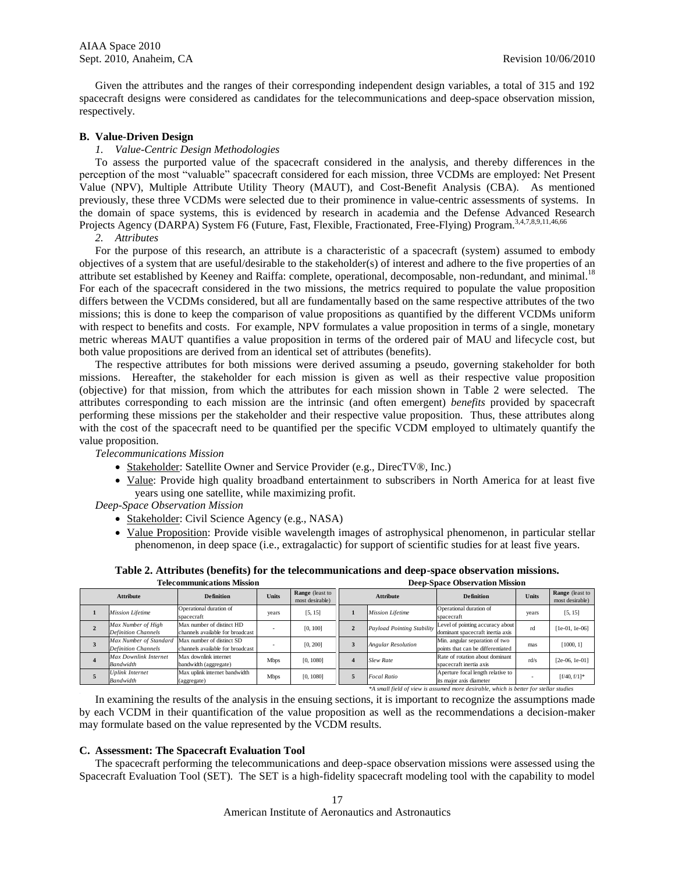Given the attributes and the ranges of their corresponding independent design variables, a total of 315 and 192 spacecraft designs were considered as candidates for the telecommunications and deep-space observation mission, respectively.

#### **B. Value-Driven Design**

# *1. Value-Centric Design Methodologies*

To assess the purported value of the spacecraft considered in the analysis, and thereby differences in the perception of the most "valuable" spacecraft considered for each mission, three VCDMs are employed: Net Present Value (NPV), Multiple Attribute Utility Theory (MAUT), and Cost-Benefit Analysis (CBA). As mentioned previously, these three VCDMs were selected due to their prominence in value-centric assessments of systems. In the domain of space systems, this is evidenced by research in academia and the Defense Advanced Research Projects Agency (DARPA) System F6 (Future, Fast, Flexible, Fractionated, Free-Flying) Program.<sup>[3,](#page-0-7)[4,](#page-0-2)[7,](#page-0-3)[8,](#page-0-6)[9,](#page-0-8)[11,](#page-0-9)[46,6](#page-9-2)6</sup>

#### <span id="page-16-1"></span>*2. Attributes*

For the purpose of this research, an attribute is a characteristic of a spacecraft (system) assumed to embody objectives of a system that are useful/desirable to the stakeholder(s) of interest and adhere to the five properties of an attribute set established by Keeney and Raiffa: complete, operational, decomposable, non-redundant, and minimal.<sup>[18](#page-1-3)</sup> For each of the spacecraft considered in the two missions, the metrics required to populate the value proposition differs between the VCDMs considered, but all are fundamentally based on the same respective attributes of the two missions; this is done to keep the comparison of value propositions as quantified by the different VCDMs uniform with respect to benefits and costs. For example, NPV formulates a value proposition in terms of a single, monetary metric whereas MAUT quantifies a value proposition in terms of the ordered pair of MAU and lifecycle cost, but both value propositions are derived from an identical set of attributes (benefits).

The respective attributes for both missions were derived assuming a pseudo, governing stakeholder for both missions. Hereafter, the stakeholder for each mission is given as well as their respective value proposition (objective) for that mission, from which the attributes for each mission shown in [Table 2](#page-16-0) were selected. The attributes corresponding to each mission are the intrinsic (and often emergent) *benefits* provided by spacecraft performing these missions per the stakeholder and their respective value proposition. Thus, these attributes along with the cost of the spacecraft need to be quantified per the specific VCDM employed to ultimately quantify the value proposition.

*Telecommunications Mission*

- Stakeholder: Satellite Owner and Service Provider (e.g.*,* DirecTV®, Inc.)
- Value: Provide high quality broadband entertainment to subscribers in North America for at least five years using one satellite, while maximizing profit.

*Deep-Space Observation Mission*

- Stakeholder: Civil Science Agency (e.g.*,* NASA)
- Value Proposition: Provide visible wavelength images of astrophysical phenomenon, in particular stellar phenomenon, in deep space (i.e.*,* extragalactic) for support of scientific studies for at least five years.

<span id="page-16-0"></span>

| <b>Attribute</b>                                                                      |                                                      | <b>Definition</b>                                             | <b>Units</b> | Range (least to<br>most desirable) | <b>Attribute</b> |                            | <b>Definition</b>                                                    | <b>Units</b> | Range (least to<br>most desirable) |
|---------------------------------------------------------------------------------------|------------------------------------------------------|---------------------------------------------------------------|--------------|------------------------------------|------------------|----------------------------|----------------------------------------------------------------------|--------------|------------------------------------|
|                                                                                       | <b>Mission Lifetime</b>                              | Operational duration of<br>spacecraft                         | years        | [5, 15]                            |                  | <b>Mission Lifetime</b>    | Operational duration of<br>spacecraft                                | years        | [5, 15]                            |
|                                                                                       | Max Number of High<br><b>Definition Channels</b>     | Max number of distinct HD<br>channels available for broadcast |              | [0, 100]                           |                  | Payload Pointing Stability | Level of pointing accuracy about<br>dominant spacecraft inertia axis | rd           | $[1e-01, 1e-06]$                   |
|                                                                                       | Max Number of Standard<br><b>Definition Channels</b> | Max number of distinct SD<br>channels available for broadcast |              | [0, 200]                           |                  | Angular Resolution         | Min. angular separation of two<br>points that can be differentiated  | mas          | [1000, 1]                          |
|                                                                                       | Max Downlink Internet<br>Bandwidth                   | Max downlink internet<br>bandwidth (aggregate)                | <b>Mbps</b>  | [0, 1080]                          |                  | Slew Rate                  | Rate of rotation about dominant<br>spacecraft inertia axis           | rd/s         | $[2e-06, 1e-01]$                   |
|                                                                                       | <b>Uplink Internet</b><br>Bandwidth                  | Max uplink internet bandwidth<br>(aggregate)                  | <b>Mbps</b>  | [0, 1080]                          |                  | <b>Focal Ratio</b>         | Aperture focal length relative to<br>its major axis diameter         |              | $[f/40, f/1]*$                     |
| *A small field of view is assumed more desirable, which is better for stellar studies |                                                      |                                                               |              |                                    |                  |                            |                                                                      |              |                                    |

|                            | Table 2. Attributes (benefits) for the telecommunications and deep-space observation missions. |
|----------------------------|------------------------------------------------------------------------------------------------|
| Telecommunications Mission | <b>Deen-Snace Observation Mission</b>                                                          |

In examining the results of the analysis in the ensuing sections, it is important to recognize the assumptions made by each VCDM in their quantification of the value proposition as well as the recommendations a decision-maker may formulate based on the value represented by the VCDM results.

# **C. Assessment: The Spacecraft Evaluation Tool**

The spacecraft performing the telecommunications and deep-space observation missions were assessed using the Spacecraft Evaluation Tool (SET). The SET is a high-fidelity spacecraft modeling tool with the capability to model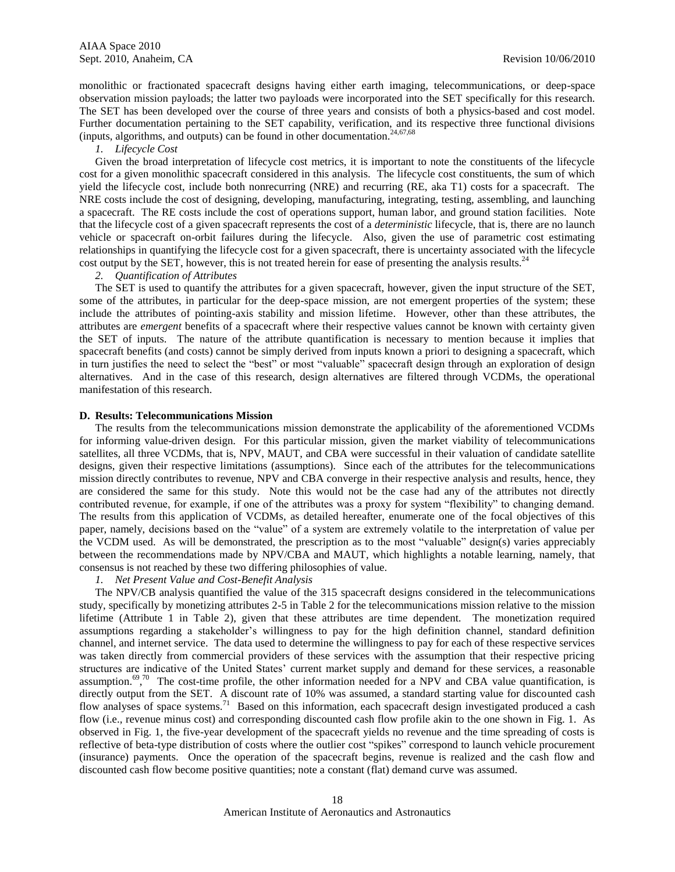monolithic or fractionated spacecraft designs having either earth imaging, telecommunications, or deep-space observation mission payloads; the latter two payloads were incorporated into the SET specifically for this research. The SET has been developed over the course of three years and consists of both a physics-based and cost model. Further documentation pertaining to the SET capability, verification, and its respective three functional divisions (inputs, algorithms, and outputs) can be found in other documentation. [24,6](#page-1-8)7,68

#### *1. Lifecycle Cost*

Given the broad interpretation of lifecycle cost metrics, it is important to note the constituents of the lifecycle cost for a given monolithic spacecraft considered in this analysis. The lifecycle cost constituents, the sum of which yield the lifecycle cost, include both nonrecurring (NRE) and recurring (RE, aka T1) costs for a spacecraft. The NRE costs include the cost of designing, developing, manufacturing, integrating, testing, assembling, and launching a spacecraft. The RE costs include the cost of operations support, human labor, and ground station facilities. Note that the lifecycle cost of a given spacecraft represents the cost of a *deterministic* lifecycle, that is, there are no launch vehicle or spacecraft on-orbit failures during the lifecycle. Also, given the use of parametric cost estimating relationships in quantifying the lifecycle cost for a given spacecraft, there is uncertainty associated with the lifecycle cost output by the SET, however, this is not treated herein for ease of presenting the analysis results.<sup>[24](#page-1-8)</sup>

#### *2. Quantification of Attributes*

The SET is used to quantify the attributes for a given spacecraft, however, given the input structure of the SET, some of the attributes, in particular for the deep-space mission, are not emergent properties of the system; these include the attributes of pointing-axis stability and mission lifetime. However, other than these attributes, the attributes are *emergent* benefits of a spacecraft where their respective values cannot be known with certainty given the SET of inputs. The nature of the attribute quantification is necessary to mention because it implies that spacecraft benefits (and costs) cannot be simply derived from inputs known a priori to designing a spacecraft, which in turn justifies the need to select the "best" or most "valuable" spacecraft design through an exploration of design alternatives. And in the case of this research, design alternatives are filtered through VCDMs, the operational manifestation of this research.

#### **D. Results: Telecommunications Mission**

The results from the telecommunications mission demonstrate the applicability of the aforementioned VCDMs for informing value-driven design. For this particular mission, given the market viability of telecommunications satellites, all three VCDMs, that is, NPV, MAUT, and CBA were successful in their valuation of candidate satellite designs, given their respective limitations (assumptions). Since each of the attributes for the telecommunications mission directly contributes to revenue, NPV and CBA converge in their respective analysis and results, hence, they are considered the same for this study. Note this would not be the case had any of the attributes not directly contributed revenue, for example, if one of the attributes was a proxy for system "flexibility" to changing demand. The results from this application of VCDMs, as detailed hereafter, enumerate one of the focal objectives of this paper, namely, decisions based on the "value" of a system are extremely volatile to the interpretation of value per the VCDM used. As will be demonstrated, the prescription as to the most "valuable" design(s) varies appreciably between the recommendations made by NPV/CBA and MAUT, which highlights a notable learning, namely, that consensus is not reached by these two differing philosophies of value.

# *1. Net Present Value and Cost-Benefit Analysis*

The NPV/CB analysis quantified the value of the 315 spacecraft designs considered in the telecommunications study, specifically by monetizing attributes 2-5 in [Table 2](#page-16-0) for the telecommunications mission relative to the mission lifetime (Attribute 1 in [Table 2\)](#page-16-0), given that these attributes are time dependent. The monetization required assumptions regarding a stakeholder's willingness to pay for the high definition channel, standard definition channel, and internet service. The data used to determine the willingness to pay for each of these respective services was taken directly from commercial providers of these services with the assumption that their respective pricing structures are indicative of the United States' current market supply and demand for these services, a reasonable assumption.<sup>69,70</sup> The cost-time profile, the other information needed for a NPV and CBA value quantification, is directly output from the SET. A discount rate of 10% was assumed, a standard starting value for discounted cash flow analyses of space systems.<sup>71</sup> Based on this information, each spacecraft design investigated produced a cash flow (i.e., revenue minus cost) and corresponding discounted cash flow profile akin to the one shown in Fig. 1. As observed in Fig. 1, the five-year development of the spacecraft yields no revenue and the time spreading of costs is reflective of beta-type distribution of costs where the outlier cost "spikes" correspond to launch vehicle procurement (insurance) payments. Once the operation of the spacecraft begins, revenue is realized and the cash flow and discounted cash flow become positive quantities; note a constant (flat) demand curve was assumed.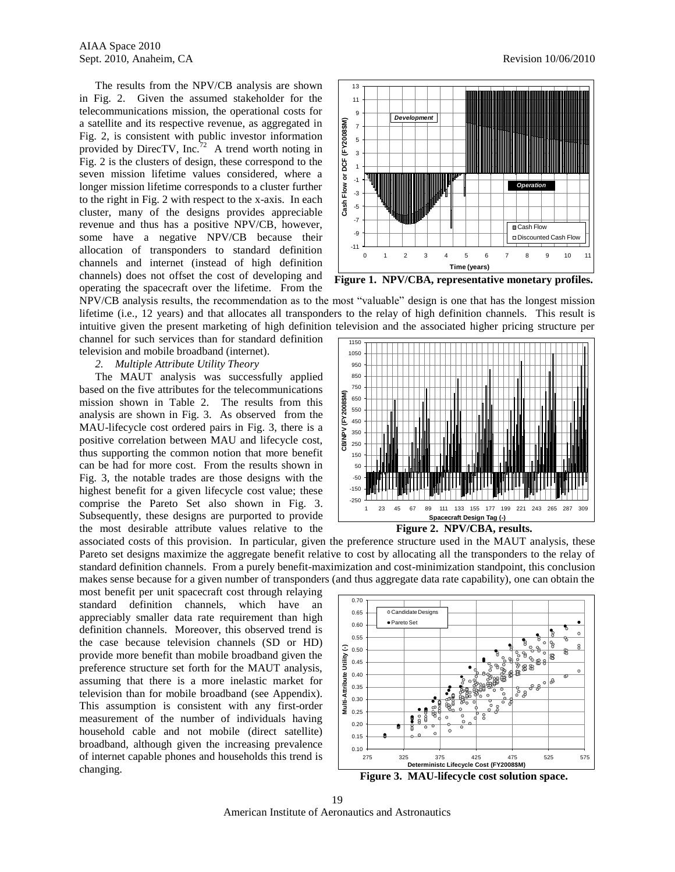The results from the NPV/CB analysis are shown in Fig. 2. Given the assumed stakeholder for the telecommunications mission, the operational costs for a satellite and its respective revenue, as aggregated in Fig. 2, is consistent with public investor information provided by DirecTV, Inc.<sup>72</sup> A trend worth noting in Fig. 2 is the clusters of design, these correspond to the seven mission lifetime values considered, where a longer mission lifetime corresponds to a cluster further to the right in Fig. 2 with respect to the x-axis. In each cluster, many of the designs provides appreciable revenue and thus has a positive NPV/CB, however, some have a negative NPV/CB because their allocation of transponders to standard definition channels and internet (instead of high definition channels) does not offset the cost of developing and operating the spacecraft over the lifetime. From the

NPV/CB analysis results, the recommendation as to the most "valuable" design is one that has the longest mission lifetime (i.e.*,* 12 years) and that allocates all transponders to the relay of high definition channels. This result is intuitive given the present marketing of high definition television and the associated higher pricing structure per channel for such services than for standard definition television and mobile broadband (internet). 1150

*2. Multiple Attribute Utility Theory*

The MAUT analysis was successfully applied based on the five attributes for the telecommunications mission shown in [Table 2.](#page-16-0) The results from this analysis are shown in Fig. 3. As observed from the MAU-lifecycle cost ordered pairs in Fig. 3, there is a positive correlation between MAU and lifecycle cost, thus supporting the common notion that more benefit can be had for more cost. From the results shown in Fig. 3, the notable trades are those designs with the highest benefit for a given lifecycle cost value; these comprise the Pareto Set also shown in Fig. 3. Subsequently, these designs are purported to provide the most desirable attribute values relative to the

associated costs of this provision. In particular, given the preference structure used in the MAUT analysis, these Pareto set designs maximize the aggregate benefit relative to cost by allocating all the transponders to the relay of standard definition channels. From a purely benefit-maximization and cost-minimization standpoint, this conclusion

most benefit per unit spacecraft cost through relaying standard definition channels, which have an appreciably smaller data rate requirement than high definition channels. Moreover, this observed trend is the case because television channels (SD or HD) provide more benefit than mobile broadband given the preference structure set forth for the MAUT analysis, assuming that there is a more inelastic market for television than for mobile broadband (see Appendix). This assumption is consistent with any first-order measurement of the number of individuals having household cable and not mobile (direct satellite) broadband, although given the increasing prevalence of internet capable phones and households this trend is changing.



**Figure 1. NPV/CBA, representative monetary profiles.**





makes sense because for a given number of transponders (and thus aggregate data rate capability), one can obtain the



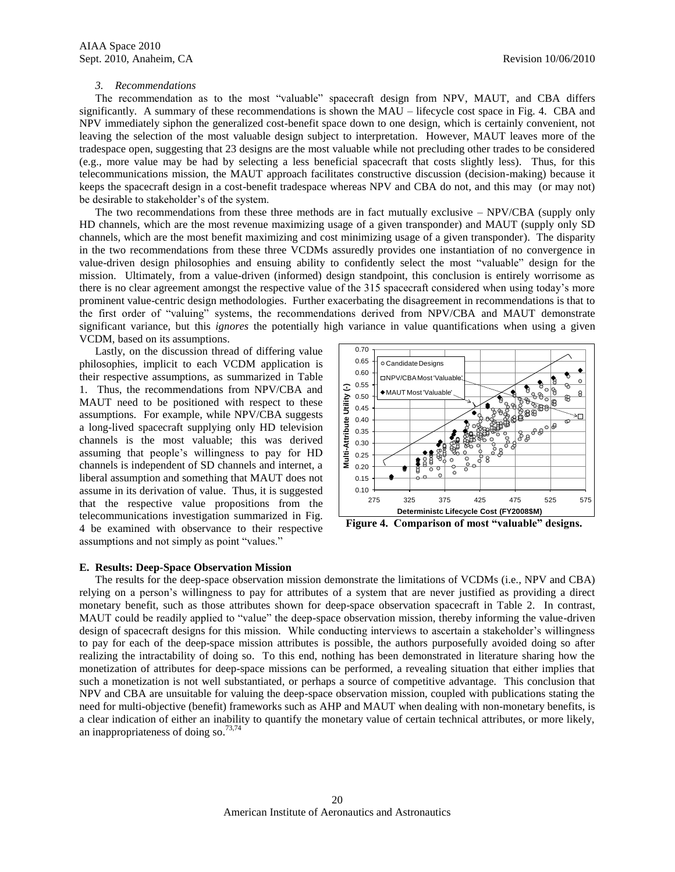#### *3. Recommendations*

The recommendation as to the most "valuable" spacecraft design from NPV, MAUT, and CBA differs significantly. A summary of these recommendations is shown the MAU – lifecycle cost space in Fig. 4. CBA and NPV immediately siphon the generalized cost-benefit space down to one design, which is certainly convenient, not leaving the selection of the most valuable design subject to interpretation. However, MAUT leaves more of the tradespace open, suggesting that 23 designs are the most valuable while not precluding other trades to be considered (e.g.*,* more value may be had by selecting a less beneficial spacecraft that costs slightly less). Thus, for this telecommunications mission, the MAUT approach facilitates constructive discussion (decision-making) because it keeps the spacecraft design in a cost-benefit tradespace whereas NPV and CBA do not, and this may (or may not) be desirable to stakeholder's of the system.

The two recommendations from these three methods are in fact mutually exclusive – NPV/CBA (supply only HD channels, which are the most revenue maximizing usage of a given transponder) and MAUT (supply only SD channels, which are the most benefit maximizing and cost minimizing usage of a given transponder). The disparity in the two recommendations from these three VCDMs assuredly provides one instantiation of no convergence in value-driven design philosophies and ensuing ability to confidently select the most "valuable" design for the mission. Ultimately, from a value-driven (informed) design standpoint, this conclusion is entirely worrisome as there is no clear agreement amongst the respective value of the 315 spacecraft considered when using today's more prominent value-centric design methodologies. Further exacerbating the disagreement in recommendations is that to the first order of "valuing" systems, the recommendations derived from NPV/CBA and MAUT demonstrate significant variance, but this *ignores* the potentially high variance in value quantifications when using a given VCDM, based on its assumptions.

Lastly, on the discussion thread of differing value philosophies, implicit to each VCDM application is their respective assumptions, as summarized in Table 1. Thus, the recommendations from NPV/CBA and MAUT need to be positioned with respect to these assumptions. For example, while NPV/CBA suggests a long-lived spacecraft supplying only HD television channels is the most valuable; this was derived assuming that people's willingness to pay for HD channels is independent of SD channels and internet, a liberal assumption and something that MAUT does not assume in its derivation of value. Thus, it is suggested that the respective value propositions from the telecommunications investigation summarized in Fig. 4 be examined with observance to their respective assumptions and not simply as point "values."





#### **E. Results: Deep-Space Observation Mission**

<span id="page-19-0"></span>The results for the deep-space observation mission demonstrate the limitations of VCDMs (i.e.*,* NPV and CBA) relying on a person's willingness to pay for attributes of a system that are never justified as providing a direct monetary benefit, such as those attributes shown for deep-space observation spacecraft in [Table 2.](#page-16-0) In contrast, MAUT could be readily applied to "value" the deep-space observation mission, thereby informing the value-driven design of spacecraft designs for this mission. While conducting interviews to ascertain a stakeholder's willingness to pay for each of the deep-space mission attributes is possible, the authors purposefully avoided doing so after realizing the intractability of doing so. To this end, nothing has been demonstrated in literature sharing how the monetization of attributes for deep-space missions can be performed, a revealing situation that either implies that such a monetization is not well substantiated, or perhaps a source of competitive advantage. This conclusion that NPV and CBA are unsuitable for valuing the deep-space observation mission, coupled with publications stating the need for multi-objective (benefit) frameworks such as AHP and MAUT when dealing with non-monetary benefits, is a clear indication of either an inability to quantify the monetary value of certain technical attributes, or more likely, an inappropriateness of doing so.<sup>73,74</sup>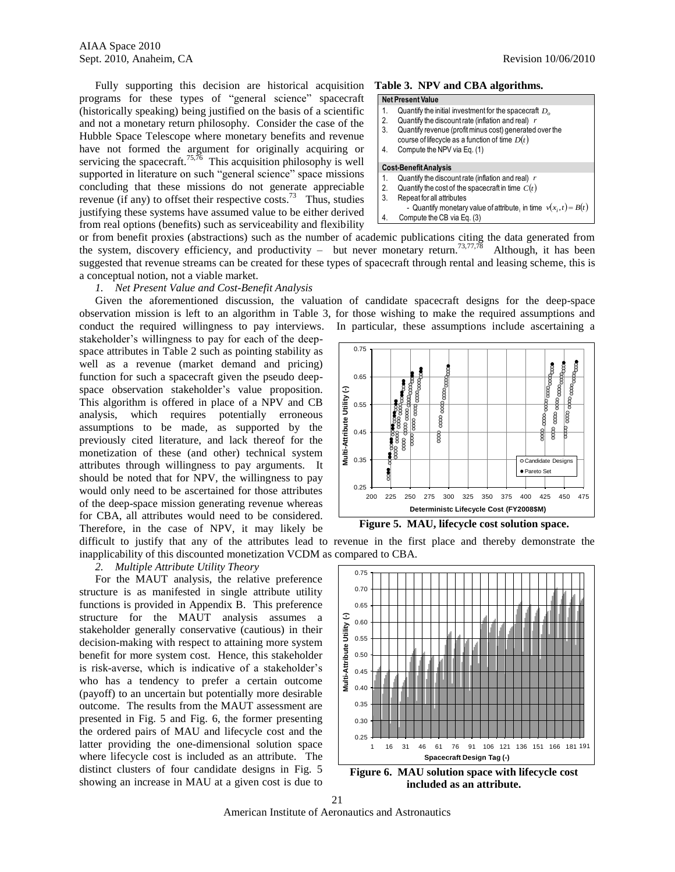Fully supporting this decision are historical acquisition programs for these types of "general science" spacecraft (historically speaking) being justified on the basis of a scientific and not a monetary return philosophy. Consider the case of the Hubble Space Telescope where monetary benefits and revenue have not formed the argument for originally acquiring or servicing the spacecraft.<sup>75,76</sup> This acquisition philosophy is well supported in literature on such "general science" space missions concluding that these missions do not generate appreciable revenue (if any) to offset their respective costs.<sup>[73](#page-19-0)</sup> Thus, studies justifying these systems have assumed value to be either derived from real options (benefits) such as serviceability and flexibility

# or from benefit proxies (abstractions) such as the number of academic publications citing the data generated from the system, discovery efficiency, and productivity – but never monetary return.<sup>[73,7](#page-19-0)7,78</sup> Although, it has been suggested that revenue streams can be created for these types of spacecraft through rental and leasing scheme, this is a conceptual notion, not a viable market.

#### *1. Net Present Value and Cost-Benefit Analysis*

stakeholder's willingness to pay for each of the deepspace attributes in [Table 2](#page-16-0) such as pointing stability as well as a revenue (market demand and pricing) function for such a spacecraft given the pseudo deepspace observation stakeholder's value proposition. This algorithm is offered in place of a NPV and CB analysis, which requires potentially erroneous assumptions to be made, as supported by the previously cited literature, and lack thereof for the monetization of these (and other) technical system attributes through willingness to pay arguments. It should be noted that for NPV, the willingness to pay would only need to be ascertained for those attributes of the deep-space mission generating revenue whereas for CBA, all attributes would need to be considered. Therefore, in the case of NPV, it may likely be

*2. Multiple Attribute Utility Theory*

For the MAUT analysis, the relative preference structure is as manifested in single attribute utility functions is provided in Appendix B. This preference structure for the MAUT analysis assumes a stakeholder generally conservative (cautious) in their decision-making with respect to attaining more system benefit for more system cost. Hence, this stakeholder is risk-averse, which is indicative of a stakeholder's who has a tendency to prefer a certain outcome (payoff) to an uncertain but potentially more desirable outcome. The results from the MAUT assessment are presented in Fig. 5 and Fig. 6, the former presenting the ordered pairs of MAU and lifecycle cost and the latter providing the one-dimensional solution space where lifecycle cost is included as an attribute. The distinct clusters of four candidate designs in Fig. 5 showing an increase in MAU at a given cost is due to

- <span id="page-20-0"></span>**Net Present Value**
- 1. Quantify the initial investment for the spacecraft  $D<sub>a</sub>$
- 2. Quantify the discount rate (inflation and real) *r*
- 3. Quantify revenue (profit minus cost) generated over the
- course of lifecycle as a function of time  $D(t)$ 4. Quantify the initial investment for the spacecraft  $D_o$ <br>
2. Quantify the discount rate (inflation and real)  $r$ <br>
3. Quantify revenue (profit minus cost) generated over<br>
course of lifecycle as a function of time  $D(t)$ <br>
- 

#### **Cost-Benefit Analysis**

- 1. Quantify the discount rate (inflation and real) *r*
- 2. Quantify the cost of the spacecraft in time  $C(t)$
- 3. Repeat for all attributes
- Quantify monetary value of attribute<sub>i</sub> in time  $v(x_i, t) = B(t)$ Compute the CB via Eq. (3)

Given the aforementioned discussion, the valuation of candidate spacecraft designs for the deep-space observation mission is left to an algorithm in [Table 3,](#page-20-0) for those wishing to make the required assumptions and conduct the required willingness to pay interviews. In particular, these assumptions include ascertaining a



difficult to justify that any of the attributes lead to revenue in the first place and thereby demonstrate the inapplicability of this discounted monetization VCDM as compared to CBA.



0.25 0.30 0.35 0.40 0.45 0.50 0.55 0.60 0.65 0.70 0.75 1 16 31 46 61 76 91 106 121 136 151 166 181 1<br>
0.25 1 16 31 46 61 76 91 106 121 136 151 166 181 1 **Spacecraft Design Tag (-)** 91 106 121 136 151 166 181 191

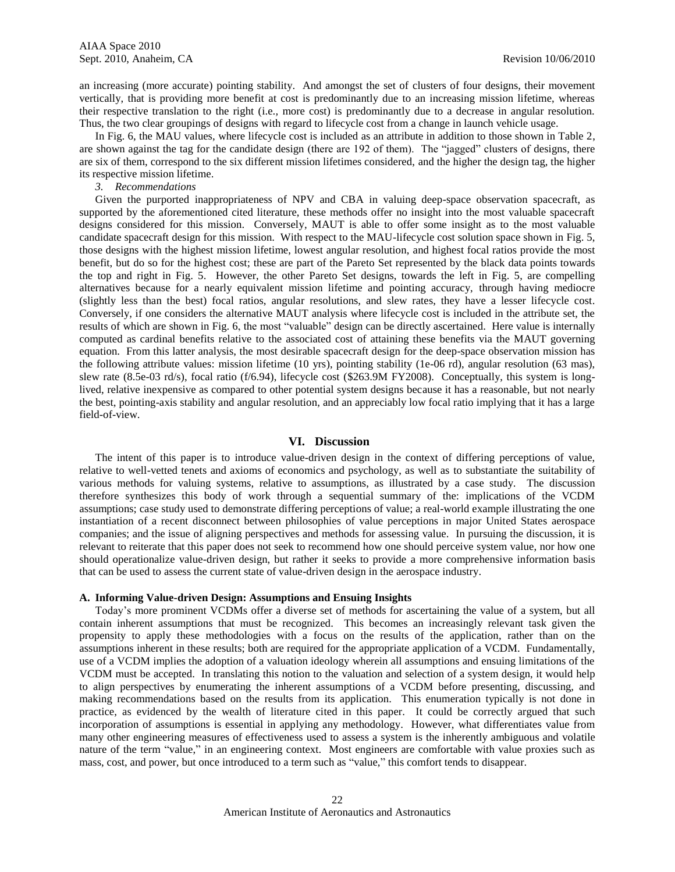an increasing (more accurate) pointing stability. And amongst the set of clusters of four designs, their movement vertically, that is providing more benefit at cost is predominantly due to an increasing mission lifetime, whereas their respective translation to the right (i.e.*,* more cost) is predominantly due to a decrease in angular resolution. Thus, the two clear groupings of designs with regard to lifecycle cost from a change in launch vehicle usage.

In Fig. 6, the MAU values, where lifecycle cost is included as an attribute in addition to those shown in Table 2, are shown against the tag for the candidate design (there are 192 of them). The "jagged" clusters of designs, there are six of them, correspond to the six different mission lifetimes considered, and the higher the design tag, the higher its respective mission lifetime.

### *3. Recommendations*

Given the purported inappropriateness of NPV and CBA in valuing deep-space observation spacecraft, as supported by the aforementioned cited literature, these methods offer no insight into the most valuable spacecraft designs considered for this mission. Conversely, MAUT is able to offer some insight as to the most valuable candidate spacecraft design for this mission. With respect to the MAU-lifecycle cost solution space shown in Fig. 5, those designs with the highest mission lifetime, lowest angular resolution, and highest focal ratios provide the most benefit, but do so for the highest cost; these are part of the Pareto Set represented by the black data points towards the top and right in Fig. 5. However, the other Pareto Set designs, towards the left in Fig. 5, are compelling alternatives because for a nearly equivalent mission lifetime and pointing accuracy, through having mediocre (slightly less than the best) focal ratios, angular resolutions, and slew rates, they have a lesser lifecycle cost. Conversely, if one considers the alternative MAUT analysis where lifecycle cost is included in the attribute set, the results of which are shown in Fig. 6, the most "valuable" design can be directly ascertained. Here value is internally computed as cardinal benefits relative to the associated cost of attaining these benefits via the MAUT governing equation. From this latter analysis, the most desirable spacecraft design for the deep-space observation mission has the following attribute values: mission lifetime (10 yrs), pointing stability (1e-06 rd), angular resolution (63 mas), slew rate (8.5e-03 rd/s), focal ratio (f/6.94), lifecycle cost (\$263.9M FY2008). Conceptually, this system is longlived, relative inexpensive as compared to other potential system designs because it has a reasonable, but not nearly the best, pointing-axis stability and angular resolution, and an appreciably low focal ratio implying that it has a large field-of-view.

# **VI. Discussion**

The intent of this paper is to introduce value-driven design in the context of differing perceptions of value, relative to well-vetted tenets and axioms of economics and psychology, as well as to substantiate the suitability of various methods for valuing systems, relative to assumptions, as illustrated by a case study. The discussion therefore synthesizes this body of work through a sequential summary of the: implications of the VCDM assumptions; case study used to demonstrate differing perceptions of value; a real-world example illustrating the one instantiation of a recent disconnect between philosophies of value perceptions in major United States aerospace companies; and the issue of aligning perspectives and methods for assessing value. In pursuing the discussion, it is relevant to reiterate that this paper does not seek to recommend how one should perceive system value, nor how one should operationalize value-driven design, but rather it seeks to provide a more comprehensive information basis that can be used to assess the current state of value-driven design in the aerospace industry.

#### **A. Informing Value-driven Design: Assumptions and Ensuing Insights**

Today's more prominent VCDMs offer a diverse set of methods for ascertaining the value of a system, but all contain inherent assumptions that must be recognized. This becomes an increasingly relevant task given the propensity to apply these methodologies with a focus on the results of the application, rather than on the assumptions inherent in these results; both are required for the appropriate application of a VCDM. Fundamentally, use of a VCDM implies the adoption of a valuation ideology wherein all assumptions and ensuing limitations of the VCDM must be accepted. In translating this notion to the valuation and selection of a system design, it would help to align perspectives by enumerating the inherent assumptions of a VCDM before presenting, discussing, and making recommendations based on the results from its application. This enumeration typically is not done in practice, as evidenced by the wealth of literature cited in this paper. It could be correctly argued that such incorporation of assumptions is essential in applying any methodology. However, what differentiates value from many other engineering measures of effectiveness used to assess a system is the inherently ambiguous and volatile nature of the term "value," in an engineering context. Most engineers are comfortable with value proxies such as mass, cost, and power, but once introduced to a term such as "value," this comfort tends to disappear.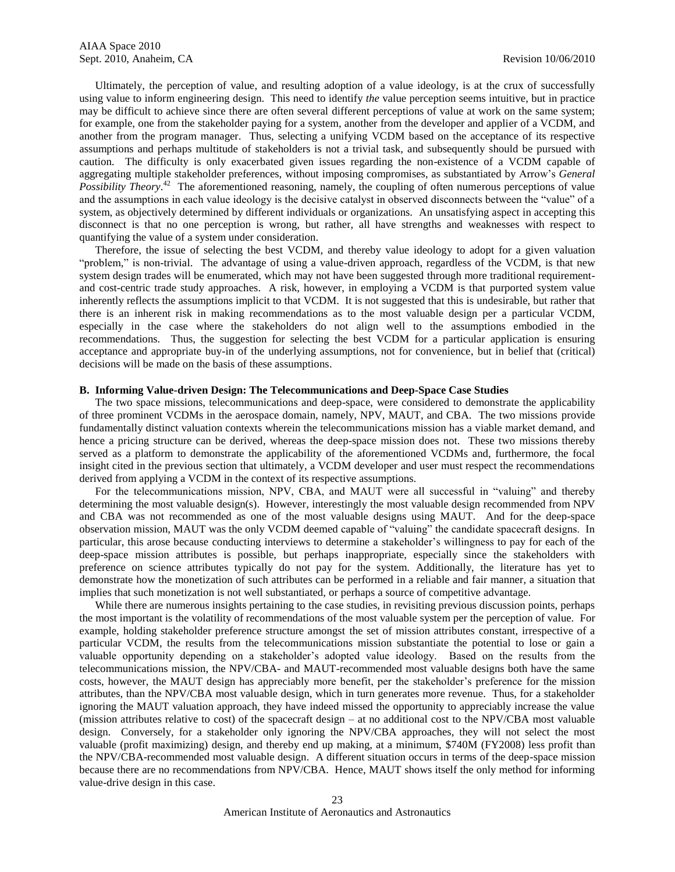Ultimately, the perception of value, and resulting adoption of a value ideology, is at the crux of successfully using value to inform engineering design. This need to identify *the* value perception seems intuitive, but in practice may be difficult to achieve since there are often several different perceptions of value at work on the same system; for example, one from the stakeholder paying for a system, another from the developer and applier of a VCDM, and another from the program manager. Thus, selecting a unifying VCDM based on the acceptance of its respective assumptions and perhaps multitude of stakeholders is not a trivial task, and subsequently should be pursued with caution. The difficulty is only exacerbated given issues regarding the non-existence of a VCDM capable of aggregating multiple stakeholder preferences, without imposing compromises, as substantiated by Arrow's *General*  Possibility Theory.<sup>[42](#page-8-1)</sup> The aforementioned reasoning, namely, the coupling of often numerous perceptions of value and the assumptions in each value ideology is the decisive catalyst in observed disconnects between the "value" of a system, as objectively determined by different individuals or organizations. An unsatisfying aspect in accepting this disconnect is that no one perception is wrong, but rather, all have strengths and weaknesses with respect to quantifying the value of a system under consideration.

Therefore, the issue of selecting the best VCDM, and thereby value ideology to adopt for a given valuation "problem," is non-trivial. The advantage of using a value-driven approach, regardless of the VCDM, is that new system design trades will be enumerated, which may not have been suggested through more traditional requirementand cost-centric trade study approaches. A risk, however, in employing a VCDM is that purported system value inherently reflects the assumptions implicit to that VCDM. It is not suggested that this is undesirable, but rather that there is an inherent risk in making recommendations as to the most valuable design per a particular VCDM, especially in the case where the stakeholders do not align well to the assumptions embodied in the recommendations. Thus, the suggestion for selecting the best VCDM for a particular application is ensuring acceptance and appropriate buy-in of the underlying assumptions, not for convenience, but in belief that (critical) decisions will be made on the basis of these assumptions.

#### **B. Informing Value-driven Design: The Telecommunications and Deep-Space Case Studies**

The two space missions, telecommunications and deep-space, were considered to demonstrate the applicability of three prominent VCDMs in the aerospace domain, namely, NPV, MAUT, and CBA. The two missions provide fundamentally distinct valuation contexts wherein the telecommunications mission has a viable market demand, and hence a pricing structure can be derived, whereas the deep-space mission does not. These two missions thereby served as a platform to demonstrate the applicability of the aforementioned VCDMs and, furthermore, the focal insight cited in the previous section that ultimately, a VCDM developer and user must respect the recommendations derived from applying a VCDM in the context of its respective assumptions.

For the telecommunications mission, NPV, CBA, and MAUT were all successful in "valuing" and thereby determining the most valuable design(s). However, interestingly the most valuable design recommended from NPV and CBA was not recommended as one of the most valuable designs using MAUT. And for the deep-space observation mission, MAUT was the only VCDM deemed capable of "valuing" the candidate spacecraft designs. In particular, this arose because conducting interviews to determine a stakeholder's willingness to pay for each of the deep-space mission attributes is possible, but perhaps inappropriate, especially since the stakeholders with preference on science attributes typically do not pay for the system. Additionally, the literature has yet to demonstrate how the monetization of such attributes can be performed in a reliable and fair manner, a situation that implies that such monetization is not well substantiated, or perhaps a source of competitive advantage.

While there are numerous insights pertaining to the case studies, in revisiting previous discussion points, perhaps the most important is the volatility of recommendations of the most valuable system per the perception of value. For example, holding stakeholder preference structure amongst the set of mission attributes constant, irrespective of a particular VCDM, the results from the telecommunications mission substantiate the potential to lose or gain a valuable opportunity depending on a stakeholder's adopted value ideology. Based on the results from the telecommunications mission, the NPV/CBA- and MAUT-recommended most valuable designs both have the same costs, however, the MAUT design has appreciably more benefit, per the stakeholder's preference for the mission attributes, than the NPV/CBA most valuable design, which in turn generates more revenue. Thus, for a stakeholder ignoring the MAUT valuation approach, they have indeed missed the opportunity to appreciably increase the value (mission attributes relative to cost) of the spacecraft design – at no additional cost to the NPV/CBA most valuable design. Conversely, for a stakeholder only ignoring the NPV/CBA approaches, they will not select the most valuable (profit maximizing) design, and thereby end up making, at a minimum, \$740M (FY2008) less profit than the NPV/CBA-recommended most valuable design. A different situation occurs in terms of the deep-space mission because there are no recommendations from NPV/CBA. Hence, MAUT shows itself the only method for informing value-drive design in this case.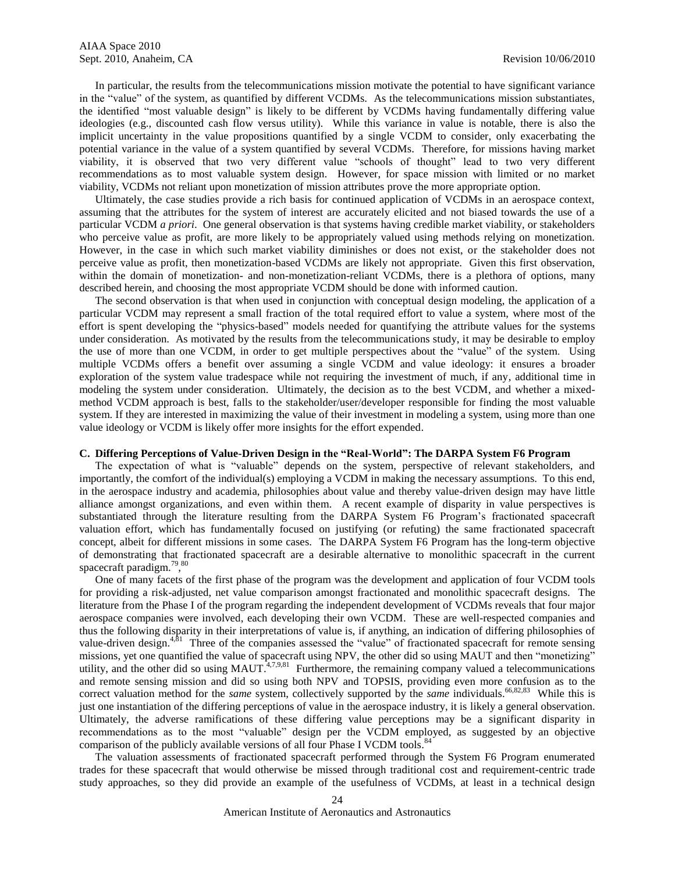In particular, the results from the telecommunications mission motivate the potential to have significant variance in the "value" of the system, as quantified by different VCDMs. As the telecommunications mission substantiates, the identified "most valuable design" is likely to be different by VCDMs having fundamentally differing value ideologies (e.g.*,* discounted cash flow versus utility). While this variance in value is notable, there is also the implicit uncertainty in the value propositions quantified by a single VCDM to consider, only exacerbating the potential variance in the value of a system quantified by several VCDMs. Therefore, for missions having market viability, it is observed that two very different value "schools of thought" lead to two very different recommendations as to most valuable system design. However, for space mission with limited or no market viability, VCDMs not reliant upon monetization of mission attributes prove the more appropriate option.

Ultimately, the case studies provide a rich basis for continued application of VCDMs in an aerospace context, assuming that the attributes for the system of interest are accurately elicited and not biased towards the use of a particular VCDM *a priori*. One general observation is that systems having credible market viability, or stakeholders who perceive value as profit, are more likely to be appropriately valued using methods relying on monetization. However, in the case in which such market viability diminishes or does not exist, or the stakeholder does not perceive value as profit, then monetization-based VCDMs are likely not appropriate. Given this first observation, within the domain of monetization- and non-monetization-reliant VCDMs, there is a plethora of options, many described herein, and choosing the most appropriate VCDM should be done with informed caution.

The second observation is that when used in conjunction with conceptual design modeling, the application of a particular VCDM may represent a small fraction of the total required effort to value a system, where most of the effort is spent developing the "physics-based" models needed for quantifying the attribute values for the systems under consideration. As motivated by the results from the telecommunications study, it may be desirable to employ the use of more than one VCDM, in order to get multiple perspectives about the "value" of the system. Using multiple VCDMs offers a benefit over assuming a single VCDM and value ideology: it ensures a broader exploration of the system value tradespace while not requiring the investment of much, if any, additional time in modeling the system under consideration. Ultimately, the decision as to the best VCDM, and whether a mixedmethod VCDM approach is best, falls to the stakeholder/user/developer responsible for finding the most valuable system. If they are interested in maximizing the value of their investment in modeling a system, using more than one value ideology or VCDM is likely offer more insights for the effort expended.

#### **C. Differing Perceptions of Value-Driven Design in the "Real-World": The DARPA System F6 Program**

The expectation of what is "valuable" depends on the system, perspective of relevant stakeholders, and importantly, the comfort of the individual(s) employing a VCDM in making the necessary assumptions. To this end, in the aerospace industry and academia, philosophies about value and thereby value-driven design may have little alliance amongst organizations, and even within them. A recent example of disparity in value perspectives is substantiated through the literature resulting from the DARPA System F6 Program's fractionated spacecraft valuation effort, which has fundamentally focused on justifying (or refuting) the same fractionated spacecraft concept, albeit for different missions in some cases. The DARPA System F6 Program has the long-term objective of demonstrating that fractionated spacecraft are a desirable alternative to monolithic spacecraft in the current spacecraft paradigm.<sup>79,80</sup>

<span id="page-23-0"></span>One of many facets of the first phase of the program was the development and application of four VCDM tools for providing a risk-adjusted, net value comparison amongst fractionated and monolithic spacecraft designs. The literature from the Phase I of the program regarding the independent development of VCDMs reveals that four major aerospace companies were involved, each developing their own VCDM. These are well-respected companies and thus the following disparity in their interpretations of value is, if anything, an indication of differing philosophies of value-driven design.<sup>[4,8](#page-0-2)1</sup> Three of the companies assessed the "value" of fractionated spacecraft for remote sensing missions, yet one quantified the value of spacecraft using NPV, the other did so using MAUT and then "monetizing" utility, and the other did so using MAUT.<sup>[4,](#page-0-2)[7,](#page-0-3)[9,](#page-0-8)[81](#page-23-0)</sup> Furthermore, the remaining company valued a telecommunications and remote sensing mission and did so using both NPV and TOPSIS, providing even more confusion as to the correct valuation method for the *same* system, collectively supported by the *same* individuals. [66,8](#page-16-1)2,83 While this is just one instantiation of the differing perceptions of value in the aerospace industry, it is likely a general observation. Ultimately, the adverse ramifications of these differing value perceptions may be a significant disparity in recommendations as to the most "valuable" design per the VCDM employed, as suggested by an objective comparison of the publicly available versions of all four Phase I VCDM tools.<sup>84</sup>

The valuation assessments of fractionated spacecraft performed through the System F6 Program enumerated trades for these spacecraft that would otherwise be missed through traditional cost and requirement-centric trade study approaches, so they did provide an example of the usefulness of VCDMs, at least in a technical design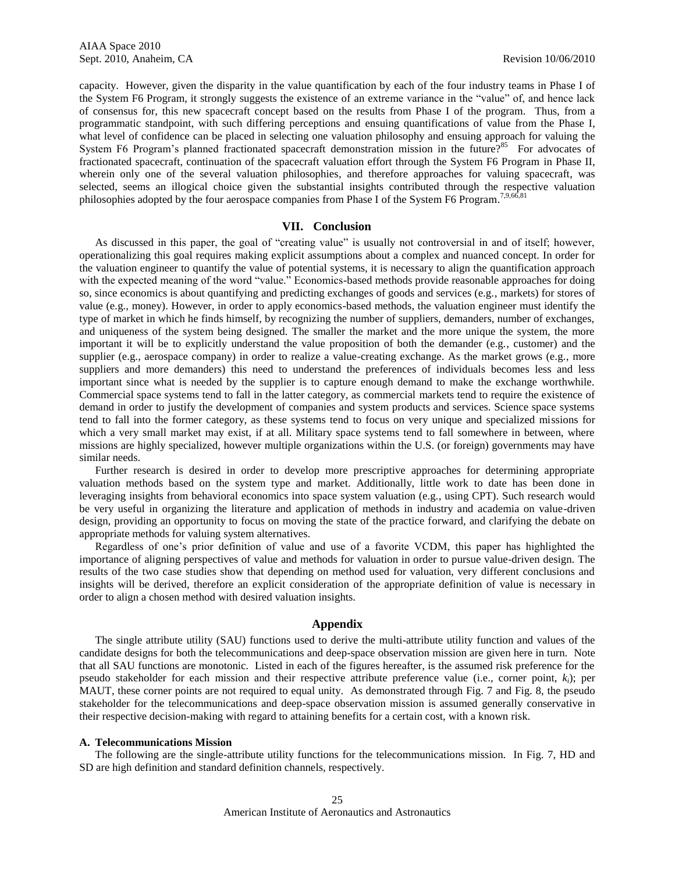capacity. However, given the disparity in the value quantification by each of the four industry teams in Phase I of the System F6 Program, it strongly suggests the existence of an extreme variance in the "value" of, and hence lack of consensus for, this new spacecraft concept based on the results from Phase I of the program. Thus, from a programmatic standpoint, with such differing perceptions and ensuing quantifications of value from the Phase I, what level of confidence can be placed in selecting one valuation philosophy and ensuing approach for valuing the System F6 Program's planned fractionated spacecraft demonstration mission in the future?<sup>85</sup> For advocates of fractionated spacecraft, continuation of the spacecraft valuation effort through the System F6 Program in Phase II, wherein only one of the several valuation philosophies, and therefore approaches for valuing spacecraft, was selected, seems an illogical choice given the substantial insights contributed through the respective valuation philosophies adopted by the four aerospace companies from Phase I of the System F6 Program.<sup>[7,](#page-0-3)[9,](#page-0-8)[66,](#page-16-1)[81](#page-23-0)</sup>

#### **VII. Conclusion**

As discussed in this paper, the goal of "creating value" is usually not controversial in and of itself; however, operationalizing this goal requires making explicit assumptions about a complex and nuanced concept. In order for the valuation engineer to quantify the value of potential systems, it is necessary to align the quantification approach with the expected meaning of the word "value." Economics-based methods provide reasonable approaches for doing so, since economics is about quantifying and predicting exchanges of goods and services (e.g., markets) for stores of value (e.g., money). However, in order to apply economics-based methods, the valuation engineer must identify the type of market in which he finds himself, by recognizing the number of suppliers, demanders, number of exchanges, and uniqueness of the system being designed. The smaller the market and the more unique the system, the more important it will be to explicitly understand the value proposition of both the demander (e.g., customer) and the supplier (e.g., aerospace company) in order to realize a value-creating exchange. As the market grows (e.g., more suppliers and more demanders) this need to understand the preferences of individuals becomes less and less important since what is needed by the supplier is to capture enough demand to make the exchange worthwhile. Commercial space systems tend to fall in the latter category, as commercial markets tend to require the existence of demand in order to justify the development of companies and system products and services. Science space systems tend to fall into the former category, as these systems tend to focus on very unique and specialized missions for which a very small market may exist, if at all. Military space systems tend to fall somewhere in between, where missions are highly specialized, however multiple organizations within the U.S. (or foreign) governments may have similar needs.

Further research is desired in order to develop more prescriptive approaches for determining appropriate valuation methods based on the system type and market. Additionally, little work to date has been done in leveraging insights from behavioral economics into space system valuation (e.g., using CPT). Such research would be very useful in organizing the literature and application of methods in industry and academia on value-driven design, providing an opportunity to focus on moving the state of the practice forward, and clarifying the debate on appropriate methods for valuing system alternatives.

Regardless of one's prior definition of value and use of a favorite VCDM, this paper has highlighted the importance of aligning perspectives of value and methods for valuation in order to pursue value-driven design. The results of the two case studies show that depending on method used for valuation, very different conclusions and insights will be derived, therefore an explicit consideration of the appropriate definition of value is necessary in order to align a chosen method with desired valuation insights.

#### **Appendix**

The single attribute utility (SAU) functions used to derive the multi-attribute utility function and values of the candidate designs for both the telecommunications and deep-space observation mission are given here in turn. Note that all SAU functions are monotonic. Listed in each of the figures hereafter, is the assumed risk preference for the pseudo stakeholder for each mission and their respective attribute preference value (i.e.*,* corner point, *ki*); per MAUT, these corner points are not required to equal unity. As demonstrated through Fig. 7 and Fig. 8, the pseudo stakeholder for the telecommunications and deep-space observation mission is assumed generally conservative in their respective decision-making with regard to attaining benefits for a certain cost, with a known risk.

# **A. Telecommunications Mission**

The following are the single-attribute utility functions for the telecommunications mission. In Fig. 7, HD and SD are high definition and standard definition channels, respectively.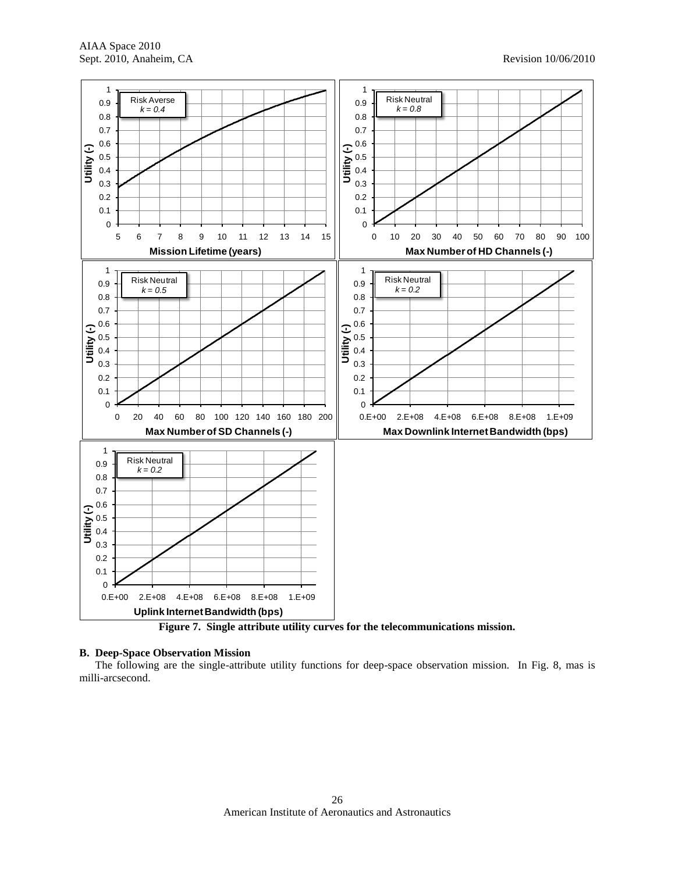

# **B. Deep-Space Observation Mission**

The following are the single-attribute utility functions for deep-space observation mission. In Fig. 8, mas is milli-arcsecond.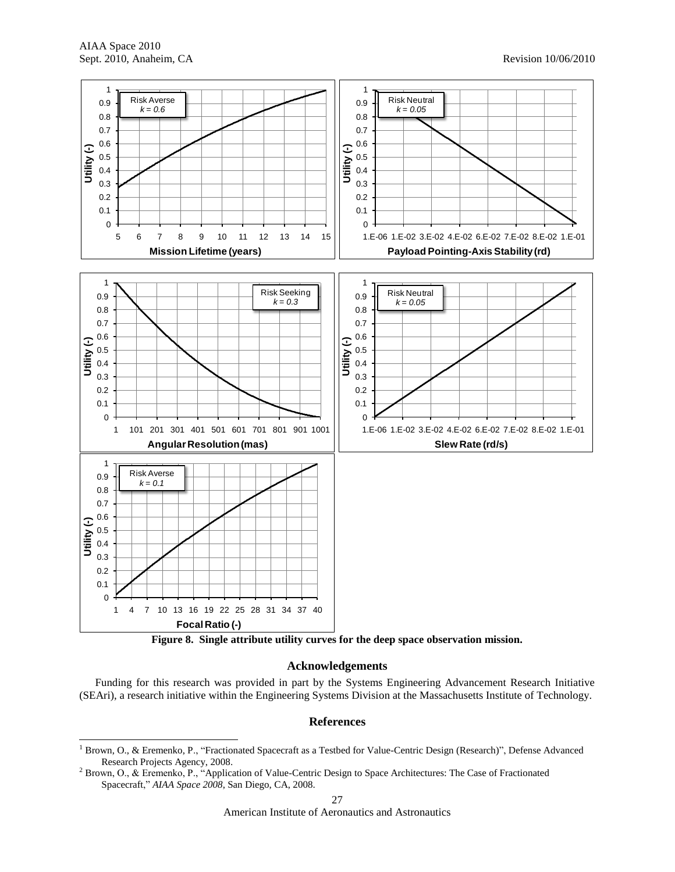



# **Acknowledgements**

Funding for this research was provided in part by the Systems Engineering Advancement Research Initiative (SEAri), a research initiative within the Engineering Systems Division at the Massachusetts Institute of Technology.

# **References**

 $1$  Brown, O., & Eremenko, P., "Fractionated Spacecraft as a Testbed for Value-Centric Design (Research)", Defense Advanced Research Projects Agency, 2008.

 $^2$  Brown, O., & Eremenko, P., "Application of Value-Centric Design to Space Architectures: The Case of Fractionated Spacecraft,‖ *AIAA Space 2008*, San Diego, CA, 2008.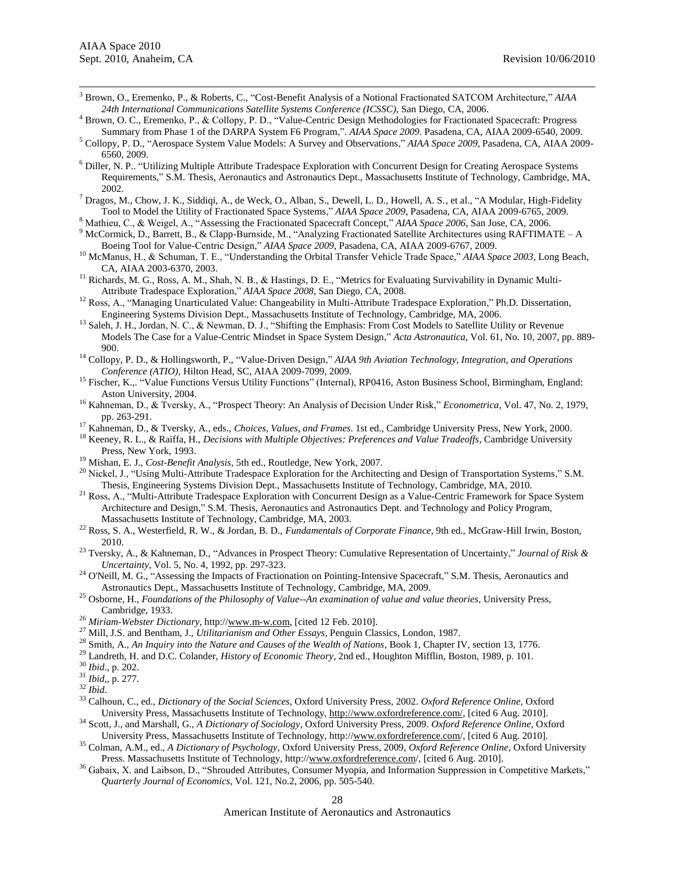- <sup>3</sup> Brown, O., Eremenko, P., & Roberts, C., "Cost-Benefit Analysis of a Notional Fractionated SATCOM Architecture," *AIAA 24th International Communications Satellite Systems Conference (ICSSC),* San Diego, CA, 2006.
- <sup>4</sup> Brown, O. C., Eremenko, P., & Collopy, P. D., "Value-Centric Design Methodologies for Fractionated Spacecraft: Progress Summary from Phase 1 of the DARPA System F6 Program,". AIAA Space 2009. Pasadena, CA, AIAA 2009-6540, 2009.
- <sup>5</sup> Collopy, P. D., "Aerospace System Value Models: A Survey and Observations," AIAA Space 2009, Pasadena, CA, AIAA 2009-6560, 2009.
- $6$  Diller, N. P.. "Utilizing Multiple Attribute Tradespace Exploration with Concurrent Design for Creating Aerospace Systems Requirements," S.M. Thesis, Aeronautics and Astronautics Dept., Massachusetts Institute of Technology, Cambridge, MA, 2002.
- $^7$  Dragos, M., Chow, J. K., Siddiqi, A., de Weck, O., Alban, S., Dewell, L. D., Howell, A. S., et al., "A Modular, High-Fidelity Tool to Model the Utility of Fractionated Space Systems," AIAA Space 2009, Pasadena, CA, AIAA 2009-6765, 2009.
- <sup>8</sup> Mathieu, C., & Weigel, A., "Assessing the Fractionated Spacecraft Concept," *AIAA Space 2006*, San Jose, CA, 2006.
- $9$  McCormick, D., Barrett, B., & Clapp-Burnside, M., "Analyzing Fractionated Satellite Architectures using RAFTIMATE A Boeing Tool for Value-Centric Design," AIAA Space 2009, Pasadena, CA, AIAA 2009-6767, 2009.
- <sup>10</sup> McManus, H., & Schuman, T. E., "Understanding the Orbital Transfer Vehicle Trade Space," *AIAA Space 2003*, Long Beach, CA, AIAA 2003-6370, 2003.
- $11$  Richards, M. G., Ross, A. M., Shah, N. B., & Hastings, D. E., "Metrics for Evaluating Survivability in Dynamic Multi-Attribute Tradespace Exploration," AIAA Space 2008, San Diego, CA, 2008.
- <sup>12</sup> Ross, A., "Managing Unarticulated Value: Changeability in Multi-Attribute Tradespace Exploration," Ph.D. Dissertation, Engineering Systems Division Dept., Massachusetts Institute of Technology, Cambridge, MA, 2006.
- $13$  Saleh, J. H., Jordan, N. C., & Newman, D. J., "Shifting the Emphasis: From Cost Models to Satellite Utility or Revenue Models The Case for a Value-Centric Mindset in Space System Design," *Acta Astronautica*, Vol. 61, No. 10, 2007, pp. 889-900.
- <sup>14</sup> Collopy, P. D., & Hollingsworth, P., "Value-Driven Design," AIAA 9th Aviation Technology, Integration, and Operations *Conference (ATIO),* Hilton Head, SC, AIAA 2009-7099, 2009.
- $<sup>15</sup>$  Fischer, K.,. "Value Functions Versus Utility Functions" (Internal), RP0416, Aston Business School, Birmingham, England:</sup> Aston University, 2004.
- <sup>16</sup> Kahneman, D., & Tversky, A., "Prospect Theory: An Analysis of Decision Under Risk," *Econometrica*, Vol. 47, No. 2, 1979, pp. 263-291.
- <sup>17</sup> Kahneman, D., & Tversky, A., eds., *Choices, Values, and Frames*. 1st ed., Cambridge University Press, New York, 2000.
- <sup>18</sup> Keeney, R. L., & Raiffa, H., *Decisions with Multiple Objectives: Preferences and Value Tradeoffs*, Cambridge University Press, New York, 1993.
- <sup>19</sup> Mishan, E. J., *Cost-Benefit Analysis*, 5th ed., Routledge, New York, 2007.
- <sup>20</sup> Nickel, J., "Using Multi-Attribute Tradespace Exploration for the Architecting and Design of Transportation Systems," S.M. Thesis, Engineering Systems Division Dept., Massachusetts Institute of Technology, Cambridge, MA, 2010.
- <sup>21</sup> Ross, A., "Multi-Attribute Tradespace Exploration with Concurrent Design as a Value-Centric Framework for Space System Architecture and Design," S.M. Thesis, Aeronautics and Astronautics Dept. and Technology and Policy Program, Massachusetts Institute of Technology, Cambridge, MA, 2003.
- <sup>22</sup> Ross, S. A., Westerfield, R. W., & Jordan, B. D., *Fundamentals of Corporate Finance*, 9th ed., McGraw-Hill Irwin, Boston, 2010.
- <sup>23</sup> Tversky, A., & Kahneman, D., "Advances in Prospect Theory: Cumulative Representation of Uncertainty," *Journal of Risk & Uncertainty*, Vol. 5, No. 4, 1992, pp. 297-323.
- <sup>24</sup> O'Neill, M. G., "Assessing the Impacts of Fractionation on Pointing-Intensive Spacecraft," S.M. Thesis, Aeronautics and Astronautics Dept., Massachusetts Institute of Technology, Cambridge, MA, 2009.
- <sup>25</sup> Osborne, H., *Foundations of the Philosophy of Value--An examination of value and value theories*, University Press, Cambridge, 1933.
- <sup>26</sup> Miriam-Webster Dictionary, http:/[/www.m-w.com,](http://www.m-w.com/) [cited 12 Feb. 2010].
- <sup>27</sup> Mill, J.S. and Bentham, J., *Utilitarianism and Other Essays*, Penguin Classics, London, 1987.
- <sup>28</sup> Smith, A., *An Inquiry into the Nature and Causes of the Wealth of Nations*, Book 1, Chapter IV, section 13, 1776.
- <sup>29</sup> Landreth, H. and D.C. Colander, *History of Economic Theory*, 2nd ed., Houghton Mifflin, Boston, 1989, p. 101.
- <sup>30</sup> *Ibid*., p. 202.

- <sup>32</sup> *Ibid*.
- <sup>33</sup> Calhoun, C., ed., *Dictionary of the Social Sciences*, Oxford University Press, 2002. *Oxford Reference Online*, Oxford University Press, Massachusetts Institute of Technology, [http://www.oxfordreference.com/,](http://www.oxfordreference.com/) [cited 6 Aug. 2010].
- <sup>34</sup> Scott, J., and Marshall, G., *A Dictionary of Sociology*, Oxford University Press, 2009. *Oxford Reference Online*, Oxford University Press, Massachusetts Institute of Technology, http://www.oxfordreference.com/, [cited 6 Aug. 2010].
- <sup>35</sup> Colman, A.M., ed., *A Dictionary of Psychology*, Oxford University Press, 2009, *Oxford Reference Online*, Oxford University Press. Massachusetts Institute of Technology, http://www.oxfordreference.com/, [cited 6 Aug. 2010].
- <sup>36</sup> Gabaix, X. and Laibson, D., "Shrouded Attributes, Consumer Myopia, and Information Suppression in Competitive Markets," *Quarterly Journal of Economics*, Vol. 121, No.2, 2006, pp. 505-540.

<sup>31</sup> *Ibid*,, p. 277.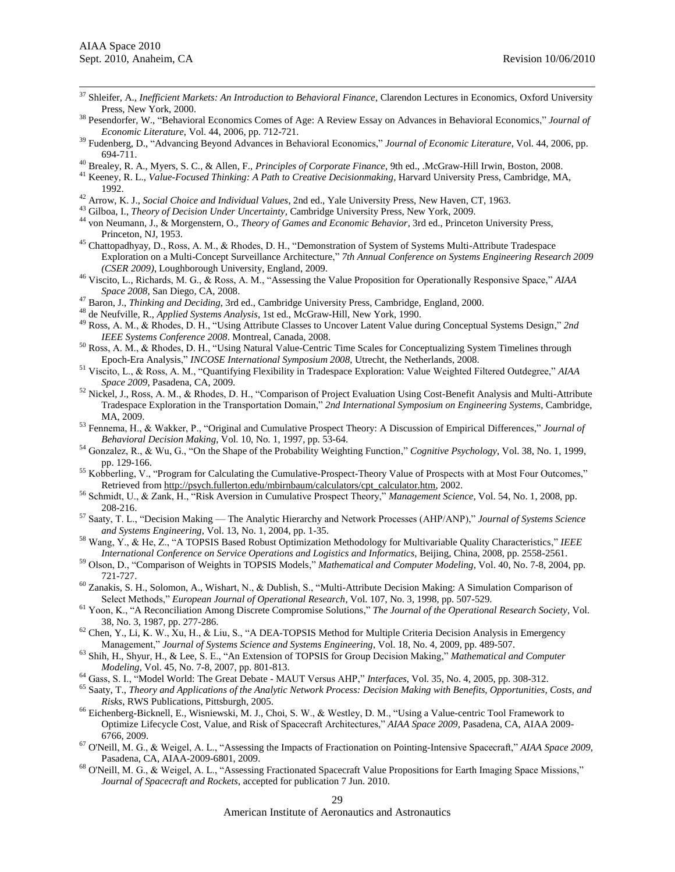- <sup>37</sup> Shleifer, A., *Inefficient Markets: An Introduction to Behavioral Finance*, Clarendon Lectures in Economics, Oxford University Press, New York, 2000.
- <sup>38</sup> Pesendorfer, W., "Behavioral Economics Comes of Age: A Review Essay on Advances in Behavioral Economics," Journal of *Economic Literature*, Vol. 44, 2006, pp. 712-721.
- <sup>39</sup> Fudenberg, D., "Advancing Beyond Advances in Behavioral Economics," *Journal of Economic Literature*, Vol. 44, 2006, pp. 694-711.
- <sup>40</sup> Brealey, R. A., Myers, S. C., & Allen, F., *Principles of Corporate Finance*, 9th ed., .McGraw-Hill Irwin, Boston, 2008.
- <sup>41</sup> Keeney, R. L., *Value-Focused Thinking: A Path to Creative Decisionmaking*, Harvard University Press, Cambridge, MA, 1992.
- <sup>42</sup> Arrow, K. J., *Social Choice and Individual Values*, 2nd ed., Yale University Press, New Haven, CT, 1963.
- <sup>43</sup> Gilboa, I., *Theory of Decision Under Uncertainty*, Cambridge University Press, New York, 2009.
- <sup>44</sup> von Neumann, J., & Morgenstern, O., *Theory of Games and Economic Behavior*, 3rd ed., Princeton University Press, Princeton, NJ, 1953.
- <sup>45</sup> Chattopadhyay, D., Ross, A. M., & Rhodes, D. H., "Demonstration of System of Systems Multi-Attribute Tradespace Exploration on a Multi-Concept Surveillance Architecture," 7th Annual Conference on Systems Engineering Research 2009 *(CSER 2009)*, Loughborough University, England, 2009.
- <sup>46</sup> Viscito, L., Richards, M. G., & Ross, A. M., "Assessing the Value Proposition for Operationally Responsive Space," *AIAA Space 2008*, San Diego, CA, 2008.
- <sup>47</sup> Baron, J., *Thinking and Deciding*, 3rd ed., Cambridge University Press, Cambridge, England, 2000.
- <sup>48</sup> de Neufville, R., *Applied Systems Analysis*, 1st ed., McGraw-Hill, New York, 1990.
- <sup>49</sup> Ross, A. M., & Rhodes, D. H., "Using Attribute Classes to Uncover Latent Value during Conceptual Systems Design," 2nd *IEEE Systems Conference 2008*. Montreal, Canada, 2008.
- $50$  Ross, A. M., & Rhodes, D. H., "Using Natural Value-Centric Time Scales for Conceptualizing System Timelines through Epoch-Era Analysis,‖ *INCOSE International Symposium 2008*, Utrecht, the Netherlands, 2008.
- 51 Viscito, L., & Ross, A. M., "Quantifying Flexibility in Tradespace Exploration: Value Weighted Filtered Outdegree," AIAA *Space 2009*, Pasadena, CA, 2009.
- $52$  Nickel, J., Ross, A. M., & Rhodes, D. H., "Comparison of Project Evaluation Using Cost-Benefit Analysis and Multi-Attribute Tradespace Exploration in the Transportation Domain,‖ *2nd International Symposium on Engineering Systems*, Cambridge, MA, 2009.
- 53 Fennema, H., & Wakker, P., "Original and Cumulative Prospect Theory: A Discussion of Empirical Differences," *Journal of Behavioral Decision Making*, Vol. 10, No. 1, 1997, pp. 53-64.
- 54 Gonzalez, R., & Wu, G., "On the Shape of the Probability Weighting Function," *Cognitive Psychology*, Vol. 38, No. 1, 1999, pp. 129-166.
- 55 Kobberling, V., "Program for Calculating the Cumulative-Prospect-Theory Value of Prospects with at Most Four Outcomes," Retrieved from [http://psych.fullerton.edu/mbirnbaum/calculators/cpt\\_calculator.htm,](http://psych.fullerton.edu/mbirnbaum/calculators/cpt_calculator.htm) 2002.
- 56 Schmidt, U., & Zank, H., "Risk Aversion in Cumulative Prospect Theory," *Management Science*, Vol. 54, No. 1, 2008, pp. 208-216.
- <sup>57</sup> Saaty, T. L., ―Decision Making The Analytic Hierarchy and Network Processes (AHP/ANP),‖ *Journal of Systems Science and Systems Engineering*, Vol. 13, No. 1, 2004, pp. 1-35.
- 58 Wang, Y., & He, Z., "A TOPSIS Based Robust Optimization Methodology for Multivariable Quality Characteristics," IEEE *International Conference on Service Operations and Logistics and Informatics*, Beijing, China, 2008, pp. 2558-2561.
- <sup>59</sup> Olson, D., "Comparison of Weights in TOPSIS Models," *Mathematical and Computer Modeling*, Vol. 40, No. 7-8, 2004, pp. 721-727.
- 60 Zanakis, S. H., Solomon, A., Wishart, N., & Dublish, S., "Multi-Attribute Decision Making: A Simulation Comparison of Select Methods," *European Journal of Operational Research*, Vol. 107, No. 3, 1998, pp. 507-529.
- <sup>61</sup> Yoon, K., "A Reconciliation Among Discrete Compromise Solutions," The Journal of the Operational Research Society, Vol. 38, No. 3, 1987, pp. 277-286.
- $62$  Chen, Y., Li, K. W., Xu, H., & Liu, S., "A DEA-TOPSIS Method for Multiple Criteria Decision Analysis in Emergency Management,‖ *Journal of Systems Science and Systems Engineering*, Vol. 18, No. 4, 2009, pp. 489-507.
- 63 Shih, H., Shyur, H., & Lee, S. E., "An Extension of TOPSIS for Group Decision Making," *Mathematical and Computer Modeling*, Vol. 45, No. 7-8, 2007, pp. 801-813.
- <sup>64</sup> Gass, S. I., "Model World: The Great Debate MAUT Versus AHP," *Interfaces*, Vol. 35, No. 4, 2005, pp. 308-312.
- <sup>65</sup> Saaty, T., *Theory and Applications of the Analytic Network Process: Decision Making with Benefits, Opportunities, Costs, and Risks*, RWS Publications, Pittsburgh, 2005.
- $66$  Eichenberg-Bicknell, E., Wisniewski, M. J., Choi, S. W., & Westley, D. M., "Using a Value-centric Tool Framework to Optimize Lifecycle Cost, Value, and Risk of Spacecraft Architectures,‖ *AIAA Space 2009*, Pasadena, CA, AIAA 2009- 6766, 2009.
- <sup>67</sup> O'Neill, M. G., & Weigel, A. L., ―Assessing the Impacts of Fractionation on Pointing-Intensive Spacecraft,‖ *AIAA Space 2009*, Pasadena, CA, AIAA-2009-6801, 2009.
- <sup>68</sup> O'Neill, M. G., & Weigel, A. L., "Assessing Fractionated Spacecraft Value Propositions for Earth Imaging Space Missions," *Journal of Spacecraft and Rockets*, accepted for publication 7 Jun. 2010.